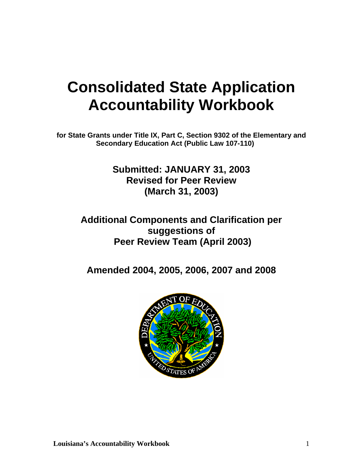# **Consolidated State Application Accountability Workbook**

**for State Grants under Title IX, Part C, Section 9302 of the Elementary and Secondary Education Act (Public Law 107-110)** 

> **Submitted: JANUARY 31, 2003 Revised for Peer Review (March 31, 2003)**

# **Additional Components and Clarification per suggestions of Peer Review Team (April 2003)**

**Amended 2004, 2005, 2006, 2007 and 2008** 

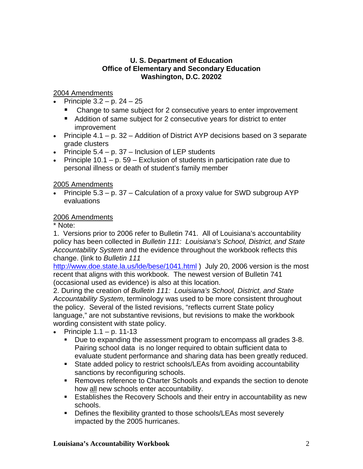# **U. S. Department of Education Office of Elementary and Secondary Education Washington, D.C. 20202**

# 2004 Amendments

- Principle  $3.2 p. 24 25$ 
	- Change to same subject for 2 consecutive years to enter improvement
	- Addition of same subject for 2 consecutive years for district to enter improvement
- Principle  $4.1 p. 32 -$  Addition of District AYP decisions based on 3 separate grade clusters
- Principle  $5.4 p. 37 -$  Inclusion of LEP students
- Principle  $10.1 p$ . 59 Exclusion of students in participation rate due to personal illness or death of student's family member

# 2005 Amendments

• Principle  $5.3 - p. 37$  – Calculation of a proxy value for SWD subgroup AYP evaluations

# 2006 Amendments

\* Note:

1. Versions prior to 2006 refer to Bulletin 741. All of Louisiana's accountability policy has been collected in *Bulletin 111: Louisiana's School, District, and State Accountability System* and the evidence throughout the workbook reflects this change. (link to *Bulletin 111*

<http://www.doe.state.la.us/lde/bese/1041.html> ) July 20, 2006 version is the most recent that aligns with this workbook. The newest version of Bulletin 741 (occasional used as evidence) is also at this location.

2. During the creation of *Bulletin 111: Louisiana's School, District, and State Accountability System*, terminology was used to be more consistent throughout the policy. Several of the listed revisions, "reflects current State policy language," are not substantive revisions, but revisions to make the workbook wording consistent with state policy.

- Principle  $1.1 p. 11-13$ 
	- Due to expanding the assessment program to encompass all grades 3-8. Pairing school data is no longer required to obtain sufficient data to evaluate student performance and sharing data has been greatly reduced.
	- State added policy to restrict schools/LEAs from avoiding accountability sanctions by reconfiguring schools.
	- Removes reference to Charter Schools and expands the section to denote how all new schools enter accountability.
	- **Establishes the Recovery Schools and their entry in accountability as new** schools.
	- **Defines the flexibility granted to those schools/LEAs most severely** impacted by the 2005 hurricanes.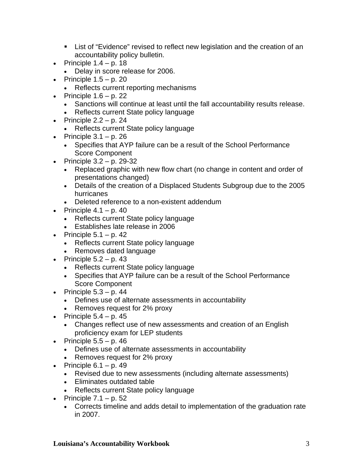- List of "Evidence" revised to reflect new legislation and the creation of an accountability policy bulletin.
- Principle  $1.4 p. 18$ 
	- Delay in score release for 2006.
- Principle  $1.5 p. 20$ 
	- Reflects current reporting mechanisms
- Principle  $1.6 p. 22$ 
	- Sanctions will continue at least until the fall accountability results release.
	- Reflects current State policy language
- Principle  $2.2 p. 24$ 
	- Reflects current State policy language
- Principle  $3.1 p. 26$ 
	- Specifies that AYP failure can be a result of the School Performance Score Component
- Principle  $3.2 p$ . 29-32
	- Replaced graphic with new flow chart (no change in content and order of presentations changed)
	- Details of the creation of a Displaced Students Subgroup due to the 2005 hurricanes
	- Deleted reference to a non-existent addendum
- Principle  $4.1 p. 40$ 
	- Reflects current State policy language
	- Establishes late release in 2006
- Principle  $5.1 p. 42$ 
	- Reflects current State policy language
	- Removes dated language
- Principle  $5.2 p.43$ 
	- Reflects current State policy language
	- Specifies that AYP failure can be a result of the School Performance Score Component
- Principle  $5.3 p.44$ 
	- Defines use of alternate assessments in accountability
	- Removes request for 2% proxy
- Principle  $5.4 p. 45$ 
	- Changes reflect use of new assessments and creation of an English proficiency exam for LEP students
- Principle  $5.5 p.46$ 
	- Defines use of alternate assessments in accountability
	- Removes request for 2% proxy
- Principle  $6.1 p.49$ 
	- Revised due to new assessments (including alternate assessments)
	- Eliminates outdated table
	- Reflects current State policy language
- Principle  $7.1 p. 52$ 
	- Corrects timeline and adds detail to implementation of the graduation rate in 2007.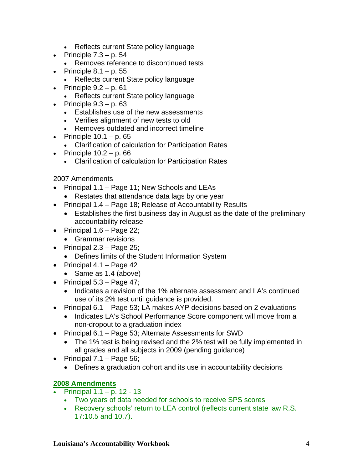- Reflects current State policy language
- Principle  $7.3 p. 54$ 
	- Removes reference to discontinued tests
- Principle  $8.1 p. 55$ 
	- Reflects current State policy language
- Principle  $9.2 p. 61$ 
	- Reflects current State policy language
- Principle  $9.3 p. 63$ 
	- Establishes use of the new assessments
	- Verifies alignment of new tests to old
	- Removes outdated and incorrect timeline
- Principle  $10.1 p. 65$ 
	- Clarification of calculation for Participation Rates
- Principle  $10.2 p.66$ 
	- Clarification of calculation for Participation Rates

2007 Amendments

- Principal 1.1 Page 11; New Schools and LEAs
	- Restates that attendance data lags by one year
- Principal 1.4 Page 18; Release of Accountability Results
	- Establishes the first business day in August as the date of the preliminary accountability release
- Principal  $1.6$  Page 22;
	- Grammar revisions
- Principal  $2.3$  Page 25;
	- Defines limits of the Student Information System
- Principal  $4.1 \text{Page } 42$ 
	- Same as 1.4 (above)
- Principal  $5.3 \text{Page } 47$ ;
	- Indicates a revision of the 1% alternate assessment and LA's continued use of its 2% test until guidance is provided.
- Principal 6.1 Page 53; LA makes AYP decisions based on 2 evaluations
	- Indicates LA's School Performance Score component will move from a non-dropout to a graduation index
- Principal 6.1 Page 53; Alternate Assessments for SWD
	- The 1% test is being revised and the 2% test will be fully implemented in all grades and all subjects in 2009 (pending guidance)
- Principal  $7.1$  Page 56;
	- Defines a graduation cohort and its use in accountability decisions

# **2008 Amendments**

- Principal 1.1 p. 12 13
	- Two years of data needed for schools to receive SPS scores
	- Recovery schools' return to LEA control (reflects current state law R.S. 17:10.5 and 10.7).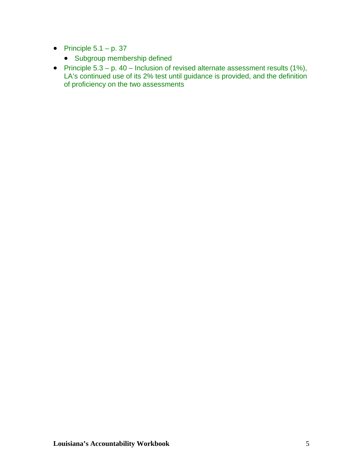- Principle  $5.1 p. 37$ 
	- Subgroup membership defined
- Principle  $5.3 p$ .  $40 -$  Inclusion of revised alternate assessment results (1%), LA's continued use of its 2% test until guidance is provided, and the definition of proficiency on the two assessments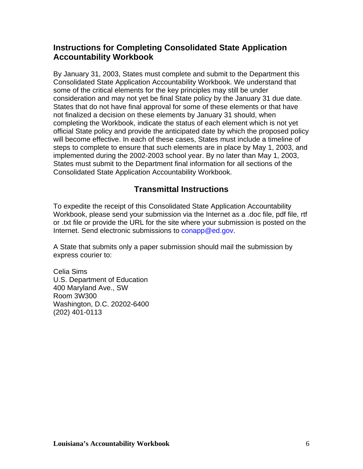# **Instructions for Completing Consolidated State Application Accountability Workbook**

By January 31, 2003, States must complete and submit to the Department this Consolidated State Application Accountability Workbook. We understand that some of the critical elements for the key principles may still be under consideration and may not yet be final State policy by the January 31 due date. States that do not have final approval for some of these elements or that have not finalized a decision on these elements by January 31 should, when completing the Workbook, indicate the status of each element which is not yet official State policy and provide the anticipated date by which the proposed policy will become effective. In each of these cases, States must include a timeline of steps to complete to ensure that such elements are in place by May 1, 2003, and implemented during the 2002-2003 school year. By no later than May 1, 2003, States must submit to the Department final information for all sections of the Consolidated State Application Accountability Workbook.

# **Transmittal Instructions**

To expedite the receipt of this Consolidated State Application Accountability Workbook, please send your submission via the Internet as a .doc file, pdf file, rtf or .txt file or provide the URL for the site where your submission is posted on the Internet. Send electronic submissions to conapp@ed.gov.

A State that submits only a paper submission should mail the submission by express courier to:

Celia Sims U.S. Department of Education 400 Maryland Ave., SW Room 3W300 Washington, D.C. 20202-6400 (202) 401-0113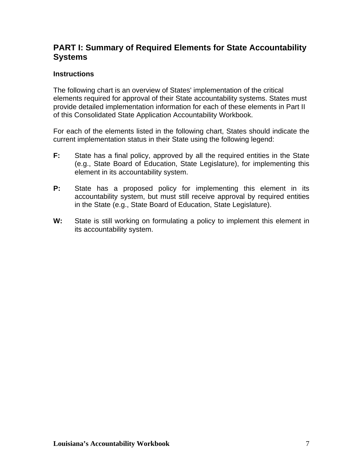# **PART I: Summary of Required Elements for State Accountability Systems**

# **Instructions**

The following chart is an overview of States' implementation of the critical elements required for approval of their State accountability systems. States must provide detailed implementation information for each of these elements in Part II of this Consolidated State Application Accountability Workbook.

For each of the elements listed in the following chart, States should indicate the current implementation status in their State using the following legend:

- **F:** State has a final policy, approved by all the required entities in the State (e.g., State Board of Education, State Legislature), for implementing this element in its accountability system.
- **P:** State has a proposed policy for implementing this element in its accountability system, but must still receive approval by required entities in the State (e.g., State Board of Education, State Legislature).
- **W:** State is still working on formulating a policy to implement this element in its accountability system.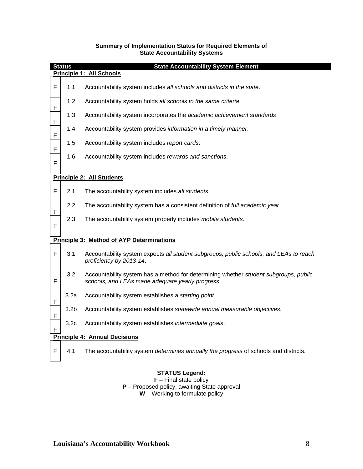|           | <b>State Accountability System Element</b><br><b>Status</b> |                                                                                                                                          |  |  |  |
|-----------|-------------------------------------------------------------|------------------------------------------------------------------------------------------------------------------------------------------|--|--|--|
|           | Principle 1: All Schools                                    |                                                                                                                                          |  |  |  |
| F         | 1.1                                                         | Accountability system includes all schools and districts in the state.                                                                   |  |  |  |
| F         | 1.2                                                         | Accountability system holds all schools to the same criteria.                                                                            |  |  |  |
| F         | 1.3                                                         | Accountability system incorporates the academic achievement standards.                                                                   |  |  |  |
| F         | 1.4                                                         | Accountability system provides information in a timely manner.                                                                           |  |  |  |
| F         | 1.5                                                         | Accountability system includes report cards.                                                                                             |  |  |  |
| F         | 1.6                                                         | Accountability system includes rewards and sanctions.                                                                                    |  |  |  |
|           |                                                             | <b>Principle 2: All Students</b>                                                                                                         |  |  |  |
| F         | 2.1                                                         | The accountability system includes all students                                                                                          |  |  |  |
| ${\bf F}$ | 2.2                                                         | The accountability system has a consistent definition of full academic year.                                                             |  |  |  |
| F         | 2.3                                                         | The accountability system properly includes mobile students.                                                                             |  |  |  |
|           |                                                             | <b>Principle 3: Method of AYP Determinations</b>                                                                                         |  |  |  |
| F         | 3.1                                                         | Accountability system expects all student subgroups, public schools, and LEAs to reach<br>proficiency by 2013-14.                        |  |  |  |
| F         | 3.2                                                         | Accountability system has a method for determining whether student subgroups, public<br>schools, and LEAs made adequate yearly progress. |  |  |  |
| F         | 3.2a                                                        | Accountability system establishes a starting point.                                                                                      |  |  |  |
| F         | 3.2 <sub>b</sub>                                            | Accountability system establishes statewide annual measurable objectives.                                                                |  |  |  |
| F         | 3.2 <sub>c</sub>                                            | Accountability system establishes intermediate goals.                                                                                    |  |  |  |
|           | <b>Principle 4: Annual Decisions</b>                        |                                                                                                                                          |  |  |  |
| F         | 4.1                                                         | The accountability system determines annually the progress of schools and districts.                                                     |  |  |  |

#### **Summary of Implementation Status for Required Elements of State Accountability Systems**

#### **STATUS Legend:**

**F** – Final state policy **P** – Proposed policy, awaiting State approval **W** – Working to formulate policy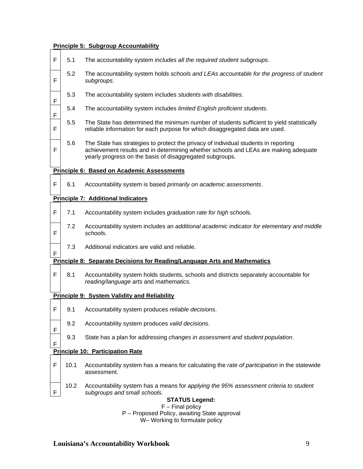#### **Principle 5: Subgroup Accountability**

- F 5.1 The accountability system *includes all the required student subgroups*.
- F 5.2 The accountability system holds *schools and LEAs accountable for the progress of student subgroups*.
- F 5.3 The accountability system includes *students with disabilities*.
- F 5.4 The accountability system includes *limited English proficient students*.
	- 5.5 The State has determined the minimum number of students sufficient to yield statistically reliable information for each purpose for which disaggregated data are used.
	- 5.6 The State has strategies to protect the privacy of individual students in reporting achievement results and in determining whether schools and LEAs are making adequate yearly progress on the basis of disaggregated subgroups.

#### **Principle 6: Based on Academic Assessments**

F 6.1 Accountability system is based *primarily on academic assessments*.

#### **Principle 7: Additional Indicators**

F

F

F

F

F

F

F

- F 7.1 Accountability system includes *graduation rate for high school*s.
	- 7.2 Accountability system includes an *additional academic indicator for elementary and middle school*s.
		- 7.3 Additional indicators are valid and reliable.

#### **Principle 8: Separate Decisions for Reading/Language Arts and Mathematics**

 $F \mid 8.1$  Accountability system holds students, schools and districts separately accountable for *reading/language arts* and *mathematics*.

#### **Principle 9: System Validity and Reliability**

- F 9.1 Accountability system produces *reliable decisions*.
	- 9.2 Accountability system produces *valid decisions*.
	- 9.3 State has a plan for addressing *changes in assessment and student population*.

#### **Principle 10: Participation Rate**

- F 10.1 Accountability system has a means for calculating the *rate of participation* in the statewide assessment.
	- 10.2 Accountability system has a means for *applying the 95% assessment criteria to student subgroups and small schools.*

#### **STATUS Legend:**

F – Final policy P – Proposed Policy, awaiting State approval

W– Working to formulate policy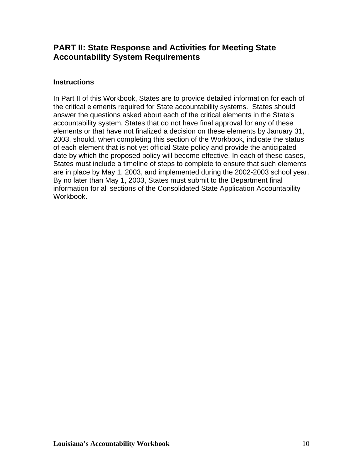# **PART II: State Response and Activities for Meeting State Accountability System Requirements**

## **Instructions**

In Part II of this Workbook, States are to provide detailed information for each of the critical elements required for State accountability systems. States should answer the questions asked about each of the critical elements in the State's accountability system. States that do not have final approval for any of these elements or that have not finalized a decision on these elements by January 31, 2003, should, when completing this section of the Workbook, indicate the status of each element that is not yet official State policy and provide the anticipated date by which the proposed policy will become effective. In each of these cases, States must include a timeline of steps to complete to ensure that such elements are in place by May 1, 2003, and implemented during the 2002-2003 school year. By no later than May 1, 2003, States must submit to the Department final information for all sections of the Consolidated State Application Accountability Workbook.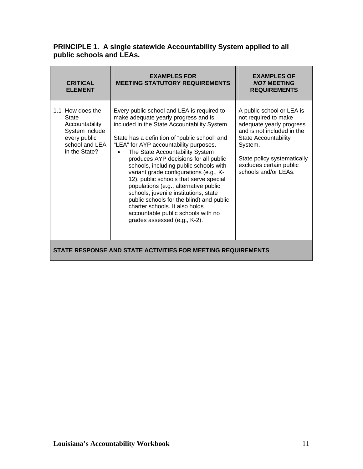## **PRINCIPLE 1. A single statewide Accountability System applied to all public schools and LEAs.**

| <b>CRITICAL</b><br><b>ELEMENT</b>                                                                                       | <b>EXAMPLES FOR</b><br><b>MEETING STATUTORY REQUIREMENTS</b>                                                                                                                                                                                                                                                                                                                                                                                                                                                                                                                                                                                                                  | <b>EXAMPLES OF</b><br><b>NOT MEETING</b><br><b>REQUIREMENTS</b>                                                                                                                                                                         |
|-------------------------------------------------------------------------------------------------------------------------|-------------------------------------------------------------------------------------------------------------------------------------------------------------------------------------------------------------------------------------------------------------------------------------------------------------------------------------------------------------------------------------------------------------------------------------------------------------------------------------------------------------------------------------------------------------------------------------------------------------------------------------------------------------------------------|-----------------------------------------------------------------------------------------------------------------------------------------------------------------------------------------------------------------------------------------|
| 1.1 How does the<br><b>State</b><br>Accountability<br>System include<br>every public<br>school and LEA<br>in the State? | Every public school and LEA is required to<br>make adequate yearly progress and is<br>included in the State Accountability System.<br>State has a definition of "public school" and<br>"LEA" for AYP accountability purposes.<br>The State Accountability System<br>produces AYP decisions for all public<br>schools, including public schools with<br>variant grade configurations (e.g., K-<br>12), public schools that serve special<br>populations (e.g., alternative public<br>schools, juvenile institutions, state<br>public schools for the blind) and public<br>charter schools. It also holds<br>accountable public schools with no<br>grades assessed (e.g., K-2). | A public school or LEA is<br>not required to make<br>adequate yearly progress<br>and is not included in the<br><b>State Accountability</b><br>System.<br>State policy systematically<br>excludes certain public<br>schools and/or LEAs. |
| STATE RESPONSE AND STATE ACTIVITIES FOR MEETING REQUIREMENTS                                                            |                                                                                                                                                                                                                                                                                                                                                                                                                                                                                                                                                                                                                                                                               |                                                                                                                                                                                                                                         |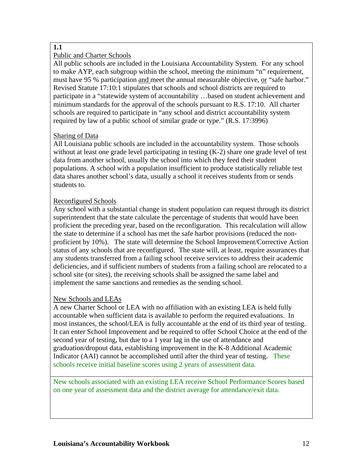# **1.1**

# Public and Charter Schools

All public schools are included in the Louisiana Accountability System. For any school to make AYP, each subgroup within the school, meeting the minimum "n" requirement, must have 95 % participation and meet the annual measurable objective, or "safe harbor." Revised Statute 17:10:1 stipulates that schools and school districts are required to participate in a "statewide system of accountability …based on student achievement and minimum standards for the approval of the schools pursuant to R.S. 17:10. All charter schools are required to participate in "any school and district accountability system required by law of a public school of similar grade or type." (R.S. 17:3996)

# Sharing of Data

All Louisiana public schools are included in the accountability system. Those schools without at least one grade level participating in testing  $(K-2)$  share one grade level of test data from another school, usually the school into which they feed their student populations. A school with a population insufficient to produce statistically reliable test data shares another school's data, usually a school it receives students from or sends students to.

# Reconfigured Schools

Any school with a substantial change in student population can request through its district superintendent that the state calculate the percentage of students that would have been proficient the preceding year, based on the reconfiguration. This recalculation will allow the state to determine if a school has met the safe harbor provisions (reduced the nonproficient by 10%). The state will determine the School Improvement/Corrective Action status of any schools that are reconfigured. The state will, at least, require assurances that any students transferred from a failing school receive services to address their academic deficiencies, and if sufficient numbers of students from a failing school are relocated to a school site (or sites), the receiving schools shall be assigned the same label and implement the same sanctions and remedies as the sending school.

# New Schools and LEAs

A new Charter School or LEA with no affiliation with an existing LEA is held fully accountable when sufficient data is available to perform the required evaluations. In most instances, the school/LEA is fully accountable at the end of its third year of testing. It can enter School Improvement and be required to offer School Choice at the end of the second year of testing, but due to a 1 year lag in the use of attendance and graduation/dropout data, establishing improvement in the K-8 Additional Academic Indicator (AAI) cannot be accomplished until after the third year of testing. These schools receive initial baseline scores using 2 years of assessment data.

New schools associated with an existing LEA receive School Performance Scores based on one year of assessment data and the district average for attendance/exit data.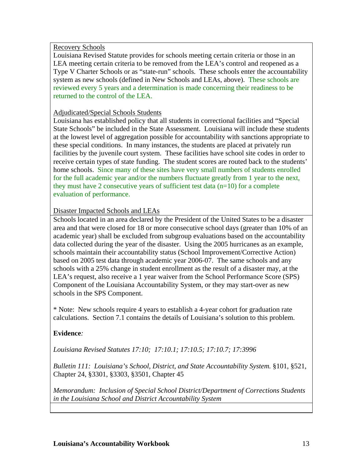Recovery Schools

Louisiana Revised Statute provides for schools meeting certain criteria or those in an LEA meeting certain criteria to be removed from the LEA's control and reopened as a Type V Charter Schools or as "state-run" schools. These schools enter the accountability system as new schools (defined in New Schools and LEAs, above). These schools are reviewed every 5 years and a determination is made concerning their readiness to be returned to the control of the LEA.

## Adjudicated/Special Schools Students

Louisiana has established policy that all students in correctional facilities and "Special State Schools" be included in the State Assessment. Louisiana will include these students at the lowest level of aggregation possible for accountability with sanctions appropriate to these special conditions. In many instances, the students are placed at privately run facilities by the juvenile court system. These facilities have school site codes in order to receive certain types of state funding. The student scores are routed back to the students' home schools. Since many of these sites have very small numbers of students enrolled for the full academic year and/or the numbers fluctuate greatly from 1 year to the next, they must have 2 consecutive years of sufficient test data  $(n=10)$  for a complete evaluation of performance.

# Disaster Impacted Schools and LEAs

Schools located in an area declared by the President of the United States to be a disaster area and that were closed for 18 or more consecutive school days (greater than 10% of an academic year) shall be excluded from subgroup evaluations based on the accountability data collected during the year of the disaster. Using the 2005 hurricanes as an example, schools maintain their accountability status (School Improvement/Corrective Action) based on 2005 test data through academic year 2006-07. The same schools and any schools with a 25% change in student enrollment as the result of a disaster may, at the LEA's request, also receive a 1 year waiver from the School Performance Score (SPS) Component of the Louisiana Accountability System, or they may start-over as new schools in the SPS Component.

\* Note: New schools require 4 years to establish a 4-year cohort for graduation rate calculations. Section 7.1 contains the details of Louisiana's solution to this problem.

# **Evidence***:*

*Louisiana Revised Statutes 17:10; 17:10.1; 17:10.5; 17:10.7; 17:3996* 

*Bulletin 111: Louisiana's School, District, and State Accountability System.* §101, §521, Chapter 24, §3301, §3303, §3501, Chapter 45

*Memorandum: Inclusion of Special School District/Department of Corrections Students in the Louisiana School and District Accountability System*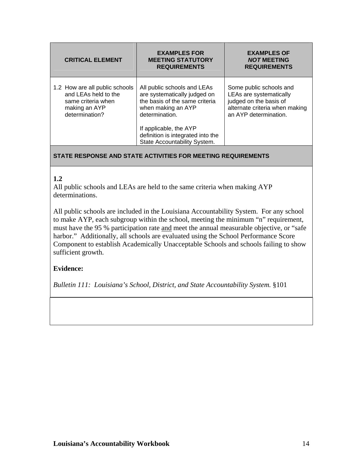| <b>CRITICAL ELEMENT</b>                                                                                         | <b>EXAMPLES FOR</b><br><b>MEETING STATUTORY</b><br><b>REQUIREMENTS</b>                                                                                                                                                               | <b>EXAMPLES OF</b><br><b>NOT MEETING</b><br><b>REQUIREMENTS</b>                                                                         |
|-----------------------------------------------------------------------------------------------------------------|--------------------------------------------------------------------------------------------------------------------------------------------------------------------------------------------------------------------------------------|-----------------------------------------------------------------------------------------------------------------------------------------|
| 1.2 How are all public schools<br>and LEAs held to the<br>same criteria when<br>making an AYP<br>determination? | All public schools and LEAs<br>are systematically judged on<br>the basis of the same criteria<br>when making an AYP<br>determination.<br>If applicable, the AYP<br>definition is integrated into the<br>State Accountability System. | Some public schools and<br>LEAs are systematically<br>judged on the basis of<br>alternate criteria when making<br>an AYP determination. |

#### **1.2**

All public schools and LEAs are held to the same criteria when making AYP determinations.

All public schools are included in the Louisiana Accountability System. For any school to make AYP, each subgroup within the school, meeting the minimum "n" requirement, must have the 95 % participation rate and meet the annual measurable objective, or "safe harbor." Additionally, all schools are evaluated using the School Performance Score Component to establish Academically Unacceptable Schools and schools failing to show sufficient growth.

## **Evidence:**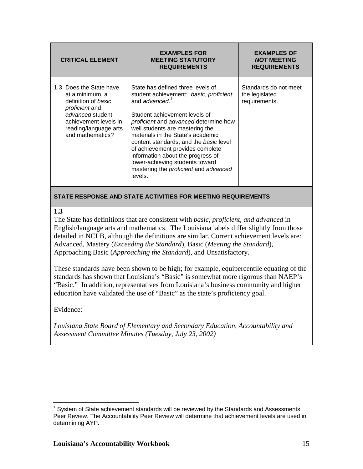| <b>CRITICAL ELEMENT</b>                                                                                                                                                         | <b>EXAMPLES FOR</b><br><b>MEETING STATUTORY</b><br><b>REQUIREMENTS</b>                                                                                                                                                                                                                                                                                                                                                                                                              | <b>EXAMPLES OF</b><br><b>NOT MEETING</b><br><b>REQUIREMENTS</b> |
|---------------------------------------------------------------------------------------------------------------------------------------------------------------------------------|-------------------------------------------------------------------------------------------------------------------------------------------------------------------------------------------------------------------------------------------------------------------------------------------------------------------------------------------------------------------------------------------------------------------------------------------------------------------------------------|-----------------------------------------------------------------|
| 1.3 Does the State have,<br>at a minimum, a<br>definition of basic,<br>proficient and<br>advanced student<br>achievement levels in<br>reading/language arts<br>and mathematics? | State has defined three levels of<br>student achievement: basic, proficient<br>and advanced. <sup>1</sup><br>Student achievement levels of<br>proficient and advanced determine how<br>well students are mastering the<br>materials in the State's academic<br>content standards; and the basic level<br>of achievement provides complete<br>information about the progress of<br>lower-achieving students toward<br>mastering the <i>proficient</i> and <i>advanced</i><br>levels. | Standards do not meet<br>the legislated<br>requirements.        |

#### **1.3**

The State has definitions that are consistent with *basic, proficient, and advanced* in English/language arts and mathematics. The Louisiana labels differ slightly from those detailed in NCLB, although the definitions are similar. Current achievement levels are: Advanced, Mastery (*Exceeding the Standard*), Basic (*Meeting the Standard*), Approaching Basic (*Approaching the Standard*), and Unsatisfactory.

These standards have been shown to be high; for example, equipercentile equating of the standards has shown that Louisiana's "Basic" is somewhat more rigorous than NAEP's "Basic." In addition, representatives from Louisiana's business community and higher education have validated the use of "Basic" as the state's proficiency goal.

Evidence:

*Louisiana State Board of Elementary and Secondary Education, Accountability and Assessment Committee Minutes (Tuesday, July 23, 2002)* 

<span id="page-14-0"></span> $\overline{a}$  $1$  System of State achievement standards will be reviewed by the Standards and Assessments Peer Review. The Accountability Peer Review will determine that achievement levels are used in determining AYP.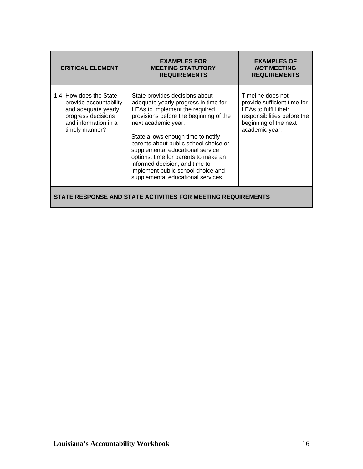| <b>CRITICAL ELEMENT</b>                                                                                                                 | <b>EXAMPLES FOR</b><br><b>MEETING STATUTORY</b><br><b>REQUIREMENTS</b>                                                                                                                                                                                                                                                                                                                                                                             | <b>EXAMPLES OF</b><br><b>NOT MEETING</b><br><b>REQUIREMENTS</b>                                                                                     |  |
|-----------------------------------------------------------------------------------------------------------------------------------------|----------------------------------------------------------------------------------------------------------------------------------------------------------------------------------------------------------------------------------------------------------------------------------------------------------------------------------------------------------------------------------------------------------------------------------------------------|-----------------------------------------------------------------------------------------------------------------------------------------------------|--|
| 1.4 How does the State<br>provide accountability<br>and adequate yearly<br>progress decisions<br>and information in a<br>timely manner? | State provides decisions about<br>adequate yearly progress in time for<br>LEAs to implement the required<br>provisions before the beginning of the<br>next academic year.<br>State allows enough time to notify<br>parents about public school choice or<br>supplemental educational service<br>options, time for parents to make an<br>informed decision, and time to<br>implement public school choice and<br>supplemental educational services. | Timeline does not<br>provide sufficient time for<br>LEAs to fulfill their<br>responsibilities before the<br>beginning of the next<br>academic year. |  |
| STATE RESPONSE AND STATE ACTIVITIES FOR MEETING REQUIREMENTS                                                                            |                                                                                                                                                                                                                                                                                                                                                                                                                                                    |                                                                                                                                                     |  |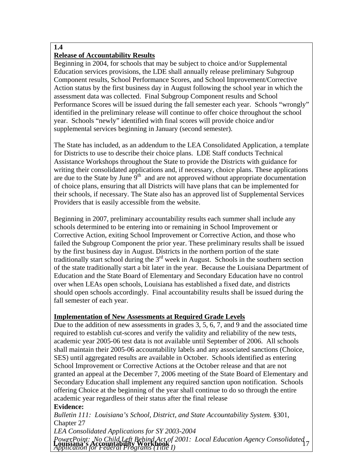# **1.4**

# **Release of Accountability Results**

Beginning in 2004, for schools that may be subject to choice and/or Supplemental Education services provisions, the LDE shall annually release preliminary Subgroup Component results, School Performance Scores, and School Improvement/Corrective Action status by the first business day in August following the school year in which the assessment data was collected. Final Subgroup Component results and School Performance Scores will be issued during the fall semester each year. Schools "wrongly" identified in the preliminary release will continue to offer choice throughout the school year. Schools "newly" identified with final scores will provide choice and/or supplemental services beginning in January (second semester).

The State has included, as an addendum to the LEA Consolidated Application, a template for Districts to use to describe their choice plans. LDE Staff conducts Technical Assistance Workshops throughout the State to provide the Districts with guidance for writing their consolidated applications and, if necessary, choice plans. These applications are due to the State by June  $9<sup>th</sup>$  and are not approved without appropriate documentation of choice plans, ensuring that all Districts will have plans that can be implemented for their schools, if necessary. The State also has an approved list of Supplemental Services Providers that is easily accessible from the website.

Beginning in 2007, preliminary accountability results each summer shall include any schools determined to be entering into or remaining in School Improvement or Corrective Action, exiting School Improvement or Corrective Action, and those who failed the Subgroup Component the prior year. These preliminary results shall be issued by the first business day in August. Districts in the northern portion of the state traditionally start school during the 3rd week in August. Schools in the southern section of the state traditionally start a bit later in the year. Because the Louisiana Department of Education and the State Board of Elementary and Secondary Education have no control over when LEAs open schools, Louisiana has established a fixed date, and districts should open schools accordingly. Final accountability results shall be issued during the fall semester of each year.

## **Implementation of New Assessments at Required Grade Levels**

Due to the addition of new assessments in grades 3, 5, 6, 7, and 9 and the associated time required to establish cut-scores and verify the validity and reliability of the new tests, academic year 2005-06 test data is not available until September of 2006. All schools shall maintain their 2005-06 accountability labels and any associated sanctions (Choice, SES) until aggregated results are available in October. Schools identified as entering School Improvement or Corrective Actions at the October release and that are not granted an appeal at the December 7, 2006 meeting of the State Board of Elementary and Secondary Education shall implement any required sanction upon notification. Schools offering Choice at the beginning of the year shall continue to do so through the entire academic year regardless of their status after the final release

## **Evidence:**

*Bulletin 111: Louisiana's School, District, and State Accountability System.* §301, Chapter 27

*LEA Consolidated Applications for SY 2003-2004* 

PowerPoint: No Child Left Behind Act of 2001: Local Education Agency Consolidated <sub>7</sub><br>**Louisiana's Accountability Workbook** <sub>1</sub> *Application for Federal Programs (Title I)*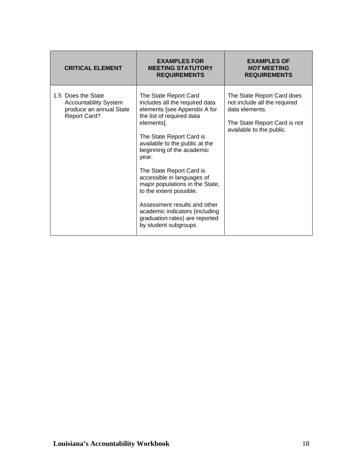| <b>CRITICAL ELEMENT</b>                                                                              | <b>EXAMPLES FOR</b><br><b>MEETING STATUTORY</b><br><b>REQUIREMENTS</b>                                                                                                                                                                                                                                                                                                                                                                                                                     | <b>EXAMPLES OF</b><br><b>NOT MEETING</b><br><b>REQUIREMENTS</b>                                                                          |
|------------------------------------------------------------------------------------------------------|--------------------------------------------------------------------------------------------------------------------------------------------------------------------------------------------------------------------------------------------------------------------------------------------------------------------------------------------------------------------------------------------------------------------------------------------------------------------------------------------|------------------------------------------------------------------------------------------------------------------------------------------|
| 1.5 Does the State<br><b>Accountability System</b><br>produce an annual State<br><b>Report Card?</b> | The State Report Card<br>includes all the required data<br>elements [see Appendix A for<br>the list of required data<br>elements].<br>The State Report Card is<br>available to the public at the<br>beginning of the academic<br>year.<br>The State Report Card is<br>accessible in languages of<br>major populations in the State,<br>to the extent possible.<br>Assessment results and other<br>academic indicators (including<br>graduation rates) are reported<br>by student subgroups | The State Report Card does<br>not include all the required<br>data elements.<br>The State Report Card is not<br>available to the public. |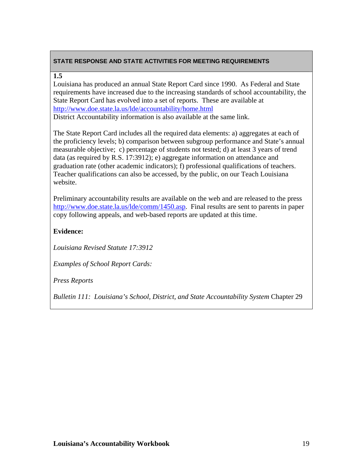#### **1.5**

Louisiana has produced an annual State Report Card since 1990. As Federal and State requirements have increased due to the increasing standards of school accountability, the State Report Card has evolved into a set of reports. These are available at <http://www.doe.state.la.us/lde/accountability/home.html> District Accountability information is also available at the same link.

The State Report Card includes all the required data elements: a) aggregates at each of the proficiency levels; b) comparison between subgroup performance and State's annual measurable objective; c) percentage of students not tested; d) at least 3 years of trend data (as required by R.S. 17:3912); e) aggregate information on attendance and graduation rate (other academic indicators); f) professional qualifications of teachers. Teacher qualifications can also be accessed, by the public, on our Teach Louisiana website.

Preliminary accountability results are available on the web and are released to the press [http://www.doe.state.la.us/lde/comm/1450.asp.](http://www.doe.state.la.us/lde/comm/1450.asp) Final results are sent to parents in paper copy following appeals, and web-based reports are updated at this time.

# **Evidence:**

*Louisiana Revised Statute 17:3912* 

*Examples of School Report Cards:*

*Press Reports*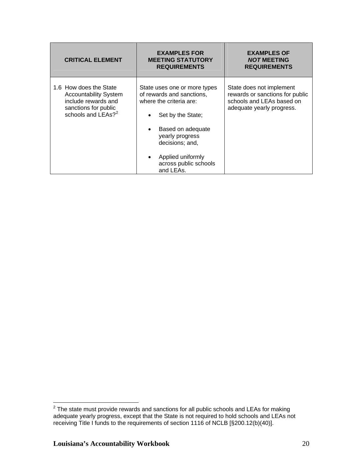| <b>CRITICAL ELEMENT</b>                                                                                                                 | <b>EXAMPLES FOR</b><br><b>MEETING STATUTORY</b><br><b>REQUIREMENTS</b>                                                                                                                                                          | <b>EXAMPLES OF</b><br><b>NOT MEETING</b><br><b>REQUIREMENTS</b>                                                       |
|-----------------------------------------------------------------------------------------------------------------------------------------|---------------------------------------------------------------------------------------------------------------------------------------------------------------------------------------------------------------------------------|-----------------------------------------------------------------------------------------------------------------------|
| 1.6 How does the State<br><b>Accountability System</b><br>include rewards and<br>sanctions for public<br>schools and LEAs? <sup>2</sup> | State uses one or more types<br>of rewards and sanctions,<br>where the criteria are:<br>Set by the State;<br>Based on adequate<br>yearly progress<br>decisions; and,<br>Applied uniformly<br>across public schools<br>and LEAs. | State does not implement<br>rewards or sanctions for public<br>schools and LEAs based on<br>adequate yearly progress. |

<span id="page-19-0"></span> 2 The state must provide rewards and sanctions for all public schools and LEAs for making adequate yearly progress, except that the State is not required to hold schools and LEAs not receiving Title I funds to the requirements of section 1116 of NCLB [§200.12(b)(40)].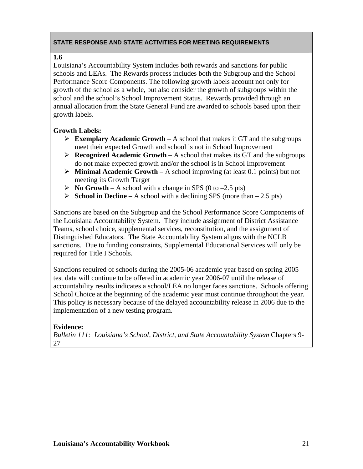# **1.6**

Louisiana's Accountability System includes both rewards and sanctions for public schools and LEAs. The Rewards process includes both the Subgroup and the School Performance Score Components. The following growth labels account not only for growth of the school as a whole, but also consider the growth of subgroups within the school and the school's School Improvement Status. Rewards provided through an annual allocation from the State General Fund are awarded to schools based upon their growth labels.

# **Growth Labels:**

- $\triangleright$  **Exemplary Academic Growth** A school that makes it GT and the subgroups meet their expected Growth and school is not in School Improvement
- $\triangleright$  **Recognized Academic Growth** A school that makes its GT and the subgroups do not make expected growth and/or the school is in School Improvement
- ¾ **Minimal Academic Growth**  A school improving (at least 0.1 points) but not meeting its Growth Target
- $\triangleright$  **No Growth** A school with a change in SPS (0 to –2.5 pts)
- ¾ **School in Decline**  A school with a declining SPS (more than 2.5 pts)

Sanctions are based on the Subgroup and the School Performance Score Components of the Louisiana Accountability System. They include assignment of District Assistance Teams, school choice, supplemental services, reconstitution, and the assignment of Distinguished Educators. The State Accountability System aligns with the NCLB sanctions. Due to funding constraints, Supplemental Educational Services will only be required for Title I Schools.

Sanctions required of schools during the 2005-06 academic year based on spring 2005 test data will continue to be offered in academic year 2006-07 until the release of accountability results indicates a school/LEA no longer faces sanctions. Schools offering School Choice at the beginning of the academic year must continue throughout the year. This policy is necessary because of the delayed accountability release in 2006 due to the implementation of a new testing program.

## **Evidence:**

*Bulletin 111: Louisiana's School, District, and State Accountability System* Chapters 9- 27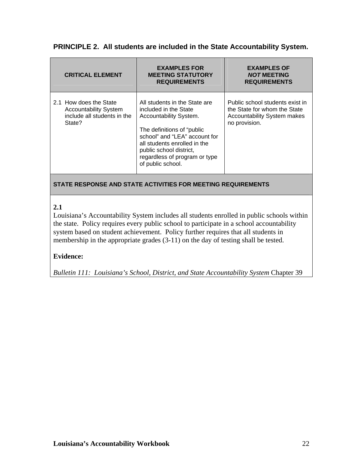# **PRINCIPLE 2. All students are included in the State Accountability System.**

| <b>CRITICAL ELEMENT</b>                                                                         | <b>EXAMPLES FOR</b><br><b>MEETING STATUTORY</b><br><b>REQUIREMENTS</b>                                                                                                                                                                                            | <b>EXAMPLES OF</b><br><b>NOT MEETING</b><br><b>REQUIREMENTS</b>                                                        |
|-------------------------------------------------------------------------------------------------|-------------------------------------------------------------------------------------------------------------------------------------------------------------------------------------------------------------------------------------------------------------------|------------------------------------------------------------------------------------------------------------------------|
| 2.1 How does the State<br><b>Accountability System</b><br>include all students in the<br>State? | All students in the State are<br>included in the State<br>Accountability System.<br>The definitions of "public"<br>school" and "LEA" account for<br>all students enrolled in the<br>public school district,<br>regardless of program or type<br>of public school. | Public school students exist in<br>the State for whom the State<br><b>Accountability System makes</b><br>no provision. |

## **STATE RESPONSE AND STATE ACTIVITIES FOR MEETING REQUIREMENTS**

# **2.1**

Louisiana's Accountability System includes all students enrolled in public schools within the state. Policy requires every public school to participate in a school accountability system based on student achievement. Policy further requires that all students in membership in the appropriate grades (3-11) on the day of testing shall be tested.

## **Evidence:**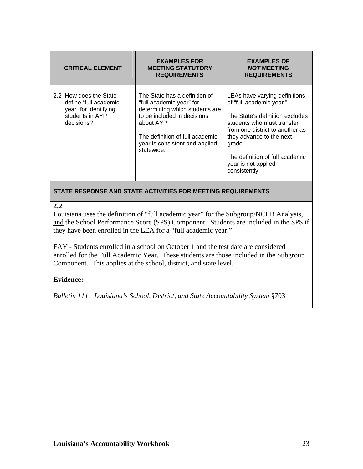| <b>CRITICAL ELEMENT</b>                                                                                   | <b>EXAMPLES FOR</b><br><b>MEETING STATUTORY</b><br><b>REQUIREMENTS</b>                                                                                                                                                      | <b>EXAMPLES OF</b><br><b>NOT MEETING</b><br><b>REQUIREMENTS</b>                                                                                                                                                                                                                |
|-----------------------------------------------------------------------------------------------------------|-----------------------------------------------------------------------------------------------------------------------------------------------------------------------------------------------------------------------------|--------------------------------------------------------------------------------------------------------------------------------------------------------------------------------------------------------------------------------------------------------------------------------|
| 2.2 How does the State<br>define "full academic<br>year" for identifying<br>students in AYP<br>decisions? | The State has a definition of<br>"full academic year" for<br>determining which students are<br>to be included in decisions<br>about AYP.<br>The definition of full academic<br>year is consistent and applied<br>statewide. | LEAs have varying definitions<br>of "full academic year."<br>The State's definition excludes<br>students who must transfer<br>from one district to another as<br>they advance to the next<br>grade.<br>The definition of full academic<br>year is not applied<br>consistently. |

#### **2.2**

Louisiana uses the definition of "full academic year" for the Subgroup/NCLB Analysis, and the School Performance Score (SPS) Component. Students are included in the SPS if they have been enrolled in the LEA for a "full academic year."

FAY - Students enrolled in a school on October 1 and the test date are considered enrolled for the Full Academic Year. These students are those included in the Subgroup Component. This applies at the school, district, and state level.

# **Evidence:**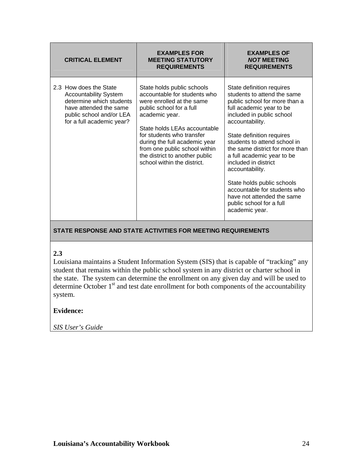| <b>CRITICAL ELEMENT</b>                                                                                                                                               | <b>EXAMPLES FOR</b><br><b>MEETING STATUTORY</b><br><b>REQUIREMENTS</b>                                                                                                                                                                                                                                                                | <b>EXAMPLES OF</b><br><b>NOT MEETING</b><br><b>REQUIREMENTS</b>                                                                                                                                                                                                                                                                                                                                                                                                                          |
|-----------------------------------------------------------------------------------------------------------------------------------------------------------------------|---------------------------------------------------------------------------------------------------------------------------------------------------------------------------------------------------------------------------------------------------------------------------------------------------------------------------------------|------------------------------------------------------------------------------------------------------------------------------------------------------------------------------------------------------------------------------------------------------------------------------------------------------------------------------------------------------------------------------------------------------------------------------------------------------------------------------------------|
| 2.3 How does the State<br><b>Accountability System</b><br>determine which students<br>have attended the same<br>public school and/or LEA<br>for a full academic year? | State holds public schools<br>accountable for students who<br>were enrolled at the same<br>public school for a full<br>academic year.<br>State holds LEAs accountable<br>for students who transfer<br>during the full academic year<br>from one public school within<br>the district to another public<br>school within the district. | State definition requires<br>students to attend the same<br>public school for more than a<br>full academic year to be<br>included in public school<br>accountability.<br>State definition requires<br>students to attend school in<br>the same district for more than<br>a full academic year to be<br>included in district<br>accountability.<br>State holds public schools<br>accountable for students who<br>have not attended the same<br>public school for a full<br>academic year. |

#### **2.3**

Louisiana maintains a Student Information System (SIS) that is capable of "tracking" any student that remains within the public school system in any district or charter school in the state. The system can determine the enrollment on any given day and will be used to determine October  $1<sup>st</sup>$  and test date enrollment for both components of the accountability system.

## **Evidence:**

*SIS User's Guide*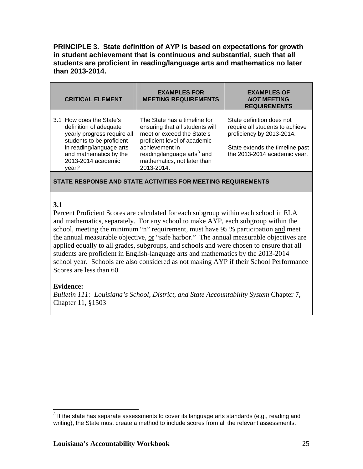**PRINCIPLE 3. State definition of AYP is based on expectations for growth in student achievement that is continuous and substantial, such that all students are proficient in reading/language arts and mathematics no later than 2013-2014.** 

| <b>CRITICAL ELEMENT</b>                                                                                                                                                                             | <b>EXAMPLES FOR</b><br><b>MEETING REQUIREMENTS</b>                                                                                                                                                                                     | <b>EXAMPLES OF</b><br><b>NOT MEETING</b><br><b>REQUIREMENTS</b>                                                                                              |
|-----------------------------------------------------------------------------------------------------------------------------------------------------------------------------------------------------|----------------------------------------------------------------------------------------------------------------------------------------------------------------------------------------------------------------------------------------|--------------------------------------------------------------------------------------------------------------------------------------------------------------|
| 3.1 How does the State's<br>definition of adequate<br>yearly progress require all<br>students to be proficient<br>in reading/language arts<br>and mathematics by the<br>2013-2014 academic<br>year? | The State has a timeline for<br>ensuring that all students will<br>meet or exceed the State's<br>proficient level of academic<br>achievement in<br>reading/language arts <sup>3</sup> and<br>mathematics, not later than<br>2013-2014. | State definition does not<br>require all students to achieve<br>proficiency by 2013-2014.<br>State extends the timeline past<br>the 2013-2014 academic year. |

#### **STATE RESPONSE AND STATE ACTIVITIES FOR MEETING REQUIREMENTS**

#### **3.1**

Percent Proficient Scores are calculated for each subgroup within each school in ELA and mathematics, separately. For any school to make AYP, each subgroup within the school, meeting the minimum "n" requirement, must have 95 % participation and meet the annual measurable objective,  $or$  "safe harbor." The annual measurable objectives are applied equally to all grades, subgroups, and schools and were chosen to ensure that all students are proficient in English-language arts and mathematics by the 2013-2014 school year. Schools are also considered as not making AYP if their School Performance Scores are less than 60.

#### **Evidence:**

*Bulletin 111: Louisiana's School, District, and State Accountability System* Chapter 7, Chapter 11, §1503

<span id="page-24-0"></span> 3 If the state has separate assessments to cover its language arts standards (e.g., reading and writing), the State must create a method to include scores from all the relevant assessments.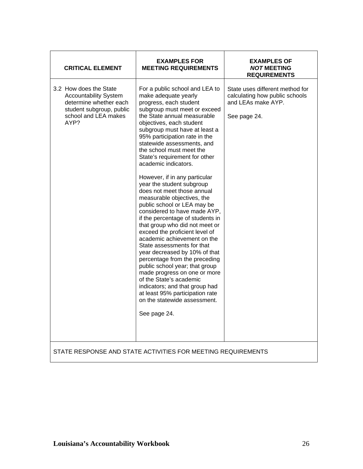| <b>CRITICAL ELEMENT</b>                                                                                                                      | <b>EXAMPLES FOR</b><br><b>MEETING REQUIREMENTS</b>                                                                                                                                                                                                                                                                                                                                                                                                                                                                                                                                                                                                                                                                                                                                                                                                                                                                                                                                                                 | <b>EXAMPLES OF</b><br><b>NOT MEETING</b><br><b>REQUIREMENTS</b>                                         |
|----------------------------------------------------------------------------------------------------------------------------------------------|--------------------------------------------------------------------------------------------------------------------------------------------------------------------------------------------------------------------------------------------------------------------------------------------------------------------------------------------------------------------------------------------------------------------------------------------------------------------------------------------------------------------------------------------------------------------------------------------------------------------------------------------------------------------------------------------------------------------------------------------------------------------------------------------------------------------------------------------------------------------------------------------------------------------------------------------------------------------------------------------------------------------|---------------------------------------------------------------------------------------------------------|
| 3.2 How does the State<br><b>Accountability System</b><br>determine whether each<br>student subgroup, public<br>school and LEA makes<br>AYP? | For a public school and LEA to<br>make adequate yearly<br>progress, each student<br>subgroup must meet or exceed<br>the State annual measurable<br>objectives, each student<br>subgroup must have at least a<br>95% participation rate in the<br>statewide assessments, and<br>the school must meet the<br>State's requirement for other<br>academic indicators.<br>However, if in any particular<br>year the student subgroup<br>does not meet those annual<br>measurable objectives, the<br>public school or LEA may be<br>considered to have made AYP,<br>if the percentage of students in<br>that group who did not meet or<br>exceed the proficient level of<br>academic achievement on the<br>State assessments for that<br>year decreased by 10% of that<br>percentage from the preceding<br>public school year; that group<br>made progress on one or more<br>of the State's academic<br>indicators; and that group had<br>at least 95% participation rate<br>on the statewide assessment.<br>See page 24. | State uses different method for<br>calculating how public schools<br>and LEAs make AYP.<br>See page 24. |
|                                                                                                                                              | STATE RESPONSE AND STATE ACTIVITIES FOR MEETING REQUIREMENTS                                                                                                                                                                                                                                                                                                                                                                                                                                                                                                                                                                                                                                                                                                                                                                                                                                                                                                                                                       |                                                                                                         |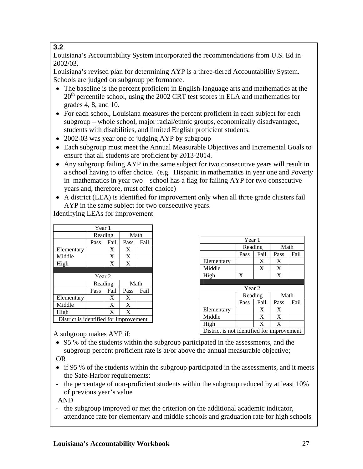# **3.2**

Louisiana's Accountability System incorporated the recommendations from U.S. Ed in 2002/03.

Louisiana's revised plan for determining AYP is a three-tiered Accountability System. Schools are judged on subgroup performance.

- The baseline is the percent proficient in English-language arts and mathematics at the  $20<sup>th</sup>$  percentile school, using the 2002 CRT test scores in ELA and mathematics for grades 4, 8, and 10.
- For each school, Louisiana measures the percent proficient in each subject for each subgroup – whole school, major racial/ethnic groups, economically disadvantaged, students with disabilities, and limited English proficient students.
- 2002-03 was year one of judging AYP by subgroup
- Each subgroup must meet the Annual Measurable Objectives and Incremental Goals to ensure that all students are proficient by 2013-2014.
- Any subgroup failing AYP in the same subject for two consecutive years will result in a school having to offer choice. (e.g. Hispanic in mathematics in year one and Poverty in mathematics in year two – school has a flag for failing AYP for two consecutive years and, therefore, must offer choice)
- A district (LEA) is identified for improvement only when all three grade clusters fail AYP in the same subject for two consecutive years.

Identifying LEAs for improvement

| Year 1     |         |      |      |      |
|------------|---------|------|------|------|
|            | Reading |      | Math |      |
|            | Pass    | Fail | Pass | Fail |
| Elementary |         | X    | X    |      |
| Middle     |         | X    | X    |      |
| High       |         | X    | X    |      |
|            |         |      |      |      |
|            |         |      |      |      |
|            | Year 2  |      |      |      |
|            | Reading |      | Math |      |
|            | Pass    | Fail | Pass | Fail |
| Elementary |         | X    | X    |      |
| Middle     |         | X    | X    |      |
| High       |         | X    | X    |      |

| Year 1     |         |      |      |      |
|------------|---------|------|------|------|
|            | Reading |      | Math |      |
|            | Pass    | Fail | Pass | Fail |
| Elementary |         | X    | X    |      |
| Middle     |         | X    | X    |      |
| High       | X       |      | X    |      |
|            |         |      |      |      |
|            |         |      |      |      |
|            | Year 2  |      |      |      |
|            | Reading |      | Math |      |
|            | Pass    | Fail | Pass | Fail |
| Elementary |         | X    | X    |      |
| Middle     |         | X    | X    |      |
| High       |         | X    | X    |      |

A subgroup makes AYP if:

- 95 % of the students within the subgroup participated in the assessments, and the subgroup percent proficient rate is at/or above the annual measurable objective; OR
- if 95 % of the students within the subgroup participated in the assessments, and it meets the Safe-Harbor requirements:
- the percentage of non-proficient students within the subgroup reduced by at least 10% of previous year's value

AND

- the subgroup improved or met the criterion on the additional academic indicator, attendance rate for elementary and middle schools and graduation rate for high schools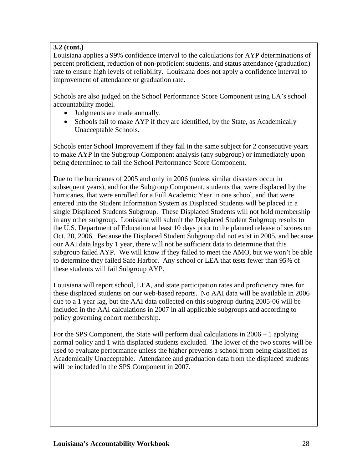# **3.2 (cont.)**

Louisiana applies a 99% confidence interval to the calculations for AYP determinations of percent proficient, reduction of non-proficient students, and status attendance (graduation) rate to ensure high levels of reliability. Louisiana does not apply a confidence interval to improvement of attendance or graduation rate.

Schools are also judged on the School Performance Score Component using LA's school accountability model.

- Judgments are made annually.
- Schools fail to make AYP if they are identified, by the State, as Academically Unacceptable Schools.

Schools enter School Improvement if they fail in the same subject for 2 consecutive years to make AYP in the Subgroup Component analysis (any subgroup) or immediately upon being determined to fail the School Performance Score Component.

Due to the hurricanes of 2005 and only in 2006 (unless similar disasters occur in subsequent years), and for the Subgroup Component, students that were displaced by the hurricanes, that were enrolled for a Full Academic Year in one school, and that were entered into the Student Information System as Displaced Students will be placed in a single Displaced Students Subgroup. These Displaced Students will not hold membership in any other subgroup. Louisiana will submit the Displaced Student Subgroup results to the U.S. Department of Education at least 10 days prior to the planned release of scores on Oct. 20, 2006. Because the Displaced Student Subgroup did not exist in 2005, and because our AAI data lags by 1 year, there will not be sufficient data to determine that this subgroup failed AYP. We will know if they failed to meet the AMO, but we won't be able to determine they failed Safe Harbor. Any school or LEA that tests fewer than 95% of these students will fail Subgroup AYP.

Louisiana will report school, LEA, and state participation rates and proficiency rates for these displaced students on our web-based reports. No AAI data will be available in 2006 due to a 1 year lag, but the AAI data collected on this subgroup during 2005-06 will be included in the AAI calculations in 2007 in all applicable subgroups and according to policy governing cohort membership.

For the SPS Component, the State will perform dual calculations in 2006 – 1 applying normal policy and 1 with displaced students excluded. The lower of the two scores will be used to evaluate performance unless the higher prevents a school from being classified as Academically Unacceptable. Attendance and graduation data from the displaced students will be included in the SPS Component in 2007.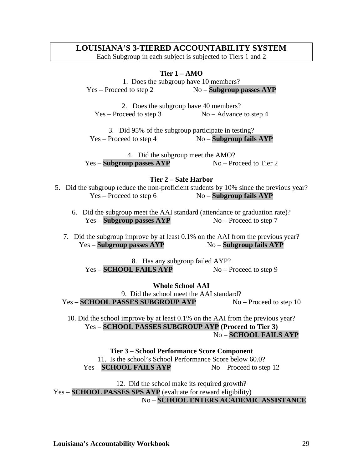# **LOUISIANA'S 3-TIERED ACCOUNTABILITY SYSTEM**

Each Subgroup in each subject is subjected to Tiers 1 and 2

#### **Tier 1 – AMO**

1. Does the subgroup have 10 members? Yes – Proceed to step 2 No – **Subgroup passes AYP** 

2. Does the subgroup have 40 members?  $Yes - Proceed to step 3$  No – Advance to step 4

3. Did 95% of the subgroup participate in testing? Yes – Proceed to step 4 No – **Subgroup fails AYP** 

4. Did the subgroup meet the AMO? Yes – **Subgroup passes AYP** No – Proceed to Tier 2

#### **Tier 2 – Safe Harbor**

- 5. Did the subgroup reduce the non-proficient students by 10% since the previous year? Yes – Proceed to step 6 No – **Subgroup fails AYP** 
	- 6. Did the subgroup meet the AAI standard (attendance or graduation rate)? Yes – **Subgroup passes AYP** No – Proceed to step 7
	- 7. Did the subgroup improve by at least 0.1% on the AAI from the previous year? Yes – **Subgroup passes AYP**  $\qquad \qquad$  No – **Subgroup fails AYP**

8. Has any subgroup failed AYP? Yes – **SCHOOL FAILS AYP** No – Proceed to step 9

**Whole School AAI**  9. Did the school meet the AAI standard?

Yes – **SCHOOL PASSES SUBGROUP AYP** No – Proceed to step 10

10. Did the school improve by at least 0.1% on the AAI from the previous year? Yes – **SCHOOL PASSES SUBGROUP AYP (Proceed to Tier 3)**  No – **SCHOOL FAILS AYP** 

**Tier 3 – School Performance Score Component**  11. Is the school's School Performance Score below 60.0? Yes – **SCHOOL FAILS AYP** No – Proceed to step 12

12. Did the school make its required growth? Yes – **SCHOOL PASSES SPS AYP** (evaluate for reward eligibility) No – **SCHOOL ENTERS ACADEMIC ASSISTANCE**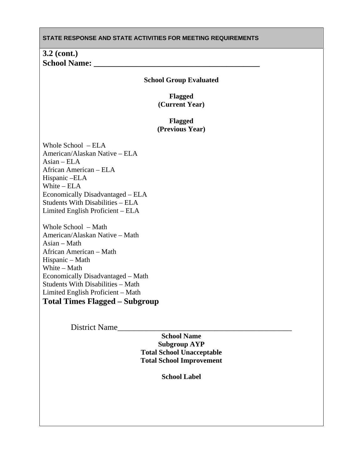| STATE RESPONSE AND STATE ACTIVITIES FOR MEETING REQUIREMENTS                                                                                                                                                                                                                                                                                                                                                                                                                                                                                                            |
|-------------------------------------------------------------------------------------------------------------------------------------------------------------------------------------------------------------------------------------------------------------------------------------------------------------------------------------------------------------------------------------------------------------------------------------------------------------------------------------------------------------------------------------------------------------------------|
| $3.2$ (cont.)<br><b>School Name:</b>                                                                                                                                                                                                                                                                                                                                                                                                                                                                                                                                    |
| <b>School Group Evaluated</b>                                                                                                                                                                                                                                                                                                                                                                                                                                                                                                                                           |
| <b>Flagged</b><br>(Current Year)                                                                                                                                                                                                                                                                                                                                                                                                                                                                                                                                        |
| <b>Flagged</b><br>(Previous Year)                                                                                                                                                                                                                                                                                                                                                                                                                                                                                                                                       |
| Whole School - ELA<br>American/Alaskan Native - ELA<br>$\text{Asian} - \text{ELA}$<br>African American - ELA<br>Hispanic - ELA<br>White $-ELA$<br>Economically Disadvantaged - ELA<br><b>Students With Disabilities - ELA</b><br>Limited English Proficient – ELA<br>Whole School - Math<br>American/Alaskan Native - Math<br>Asian - Math<br>African American - Math<br>Hispanic - Math<br>White - Math<br>Economically Disadvantaged - Math<br><b>Students With Disabilities - Math</b><br>Limited English Proficient – Math<br><b>Total Times Flagged - Subgroup</b> |
|                                                                                                                                                                                                                                                                                                                                                                                                                                                                                                                                                                         |
| District Name<br><b>School Name</b><br><b>Subgroup AYP</b><br><b>Total School Unacceptable</b><br><b>Total School Improvement</b>                                                                                                                                                                                                                                                                                                                                                                                                                                       |

**School Label**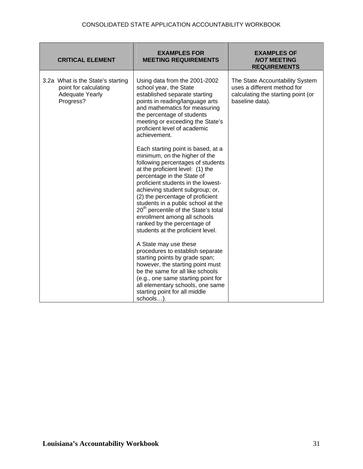| <b>CRITICAL ELEMENT</b>                                                                           | <b>EXAMPLES FOR</b><br><b>MEETING REQUIREMENTS</b>                                                                                                                                                                                                                                                                                                                                                                                                                                    | <b>EXAMPLES OF</b><br><b>NOT MEETING</b><br><b>REQUIREMENTS</b>                                                         |
|---------------------------------------------------------------------------------------------------|---------------------------------------------------------------------------------------------------------------------------------------------------------------------------------------------------------------------------------------------------------------------------------------------------------------------------------------------------------------------------------------------------------------------------------------------------------------------------------------|-------------------------------------------------------------------------------------------------------------------------|
| 3.2a What is the State's starting<br>point for calculating<br><b>Adequate Yearly</b><br>Progress? | Using data from the 2001-2002<br>school year, the State<br>established separate starting<br>points in reading/language arts<br>and mathematics for measuring<br>the percentage of students<br>meeting or exceeding the State's<br>proficient level of academic<br>achievement.                                                                                                                                                                                                        | The State Accountability System<br>uses a different method for<br>calculating the starting point (or<br>baseline data). |
|                                                                                                   | Each starting point is based, at a<br>minimum, on the higher of the<br>following percentages of students<br>at the proficient level: (1) the<br>percentage in the State of<br>proficient students in the lowest-<br>achieving student subgroup; or,<br>(2) the percentage of proficient<br>students in a public school at the<br>20 <sup>th</sup> percentile of the State's total<br>enrollment among all schools<br>ranked by the percentage of<br>students at the proficient level. |                                                                                                                         |
|                                                                                                   | A State may use these<br>procedures to establish separate<br>starting points by grade span;<br>however, the starting point must<br>be the same for all like schools<br>(e.g., one same starting point for<br>all elementary schools, one same<br>starting point for all middle<br>schools).                                                                                                                                                                                           |                                                                                                                         |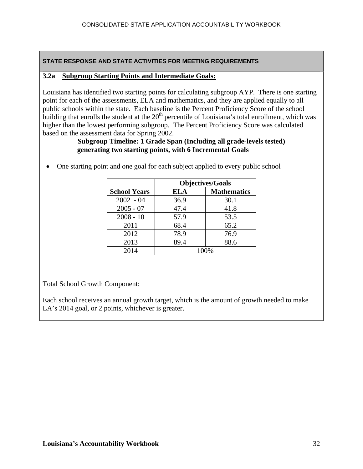#### **3.2a Subgroup Starting Points and Intermediate Goals:**

Louisiana has identified two starting points for calculating subgroup AYP. There is one starting point for each of the assessments, ELA and mathematics, and they are applied equally to all public schools within the state. Each baseline is the Percent Proficiency Score of the school building that enrolls the student at the  $20<sup>th</sup>$  percentile of Louisiana's total enrollment, which was higher than the lowest performing subgroup. The Percent Proficiency Score was calculated based on the assessment data for Spring 2002.

#### **Subgroup Timeline: 1 Grade Span (Including all grade-levels tested) generating two starting points, with 6 Incremental Goals**

|                     | <b>Objectives/Goals</b> |                    |  |
|---------------------|-------------------------|--------------------|--|
| <b>School Years</b> | <b>ELA</b>              | <b>Mathematics</b> |  |
| $2002 - 04$         | 36.9                    | 30.1               |  |
| $2005 - 07$         | 47.4                    | 41.8               |  |
| $2008 - 10$         | 57.9                    | 53.5               |  |
| 2011                | 68.4                    | 65.2               |  |
| 2012                | 78.9                    | 76.9               |  |
| 2013                | 89.4                    | 88.6               |  |
| 2014                | 100%                    |                    |  |

• One starting point and one goal for each subject applied to every public school

Total School Growth Component:

Each school receives an annual growth target, which is the amount of growth needed to make LA's 2014 goal, or 2 points, whichever is greater.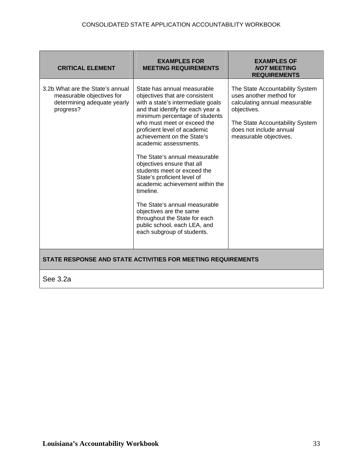| <b>CRITICAL ELEMENT</b>                                                                                   | <b>EXAMPLES FOR</b><br><b>MEETING REQUIREMENTS</b>                                                                                                                                                                                                                                                                                                                                                                                                                                                                                                                                                                                      | <b>EXAMPLES OF</b><br><b>NOT MEETING</b><br><b>REQUIREMENTS</b>                                                                                                                                    |
|-----------------------------------------------------------------------------------------------------------|-----------------------------------------------------------------------------------------------------------------------------------------------------------------------------------------------------------------------------------------------------------------------------------------------------------------------------------------------------------------------------------------------------------------------------------------------------------------------------------------------------------------------------------------------------------------------------------------------------------------------------------------|----------------------------------------------------------------------------------------------------------------------------------------------------------------------------------------------------|
| 3.2b What are the State's annual<br>measurable objectives for<br>determining adequate yearly<br>progress? | State has annual measurable<br>objectives that are consistent<br>with a state's intermediate goals<br>and that identify for each year a<br>minimum percentage of students<br>who must meet or exceed the<br>proficient level of academic<br>achievement on the State's<br>academic assessments.<br>The State's annual measurable<br>objectives ensure that all<br>students meet or exceed the<br>State's proficient level of<br>academic achievement within the<br>timeline.<br>The State's annual measurable<br>objectives are the same<br>throughout the State for each<br>public school, each LEA, and<br>each subgroup of students. | The State Accountability System<br>uses another method for<br>calculating annual measurable<br>objectives.<br>The State Accountability System<br>does not include annual<br>measurable objectives. |
| $\sim$ $\sim$                                                                                             | STATE RESPONSE AND STATE ACTIVITIES FOR MEETING REQUIREMENTS                                                                                                                                                                                                                                                                                                                                                                                                                                                                                                                                                                            |                                                                                                                                                                                                    |

See 3.2a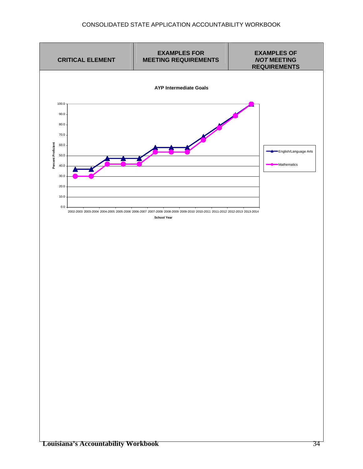#### CONSOLIDATED STATE APPLICATION ACCOUNTABILITY WORKBOOK

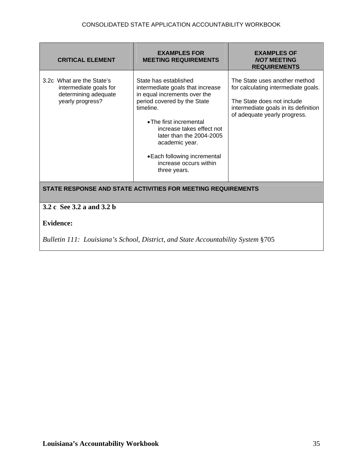| <b>CRITICAL ELEMENT</b>                                                                              | <b>EXAMPLES FOR</b><br><b>MEETING REQUIREMENTS</b>                                                                                                                                                                                                                                                                    | <b>EXAMPLES OF</b><br><b>NOT MEETING</b><br><b>REQUIREMENTS</b>                                                                                                            |  |
|------------------------------------------------------------------------------------------------------|-----------------------------------------------------------------------------------------------------------------------------------------------------------------------------------------------------------------------------------------------------------------------------------------------------------------------|----------------------------------------------------------------------------------------------------------------------------------------------------------------------------|--|
| 3.2c What are the State's<br>intermediate goals for<br>determining adequate<br>yearly progress?      | State has established<br>intermediate goals that increase<br>in equal increments over the<br>period covered by the State<br>timeline.<br>• The first incremental<br>increase takes effect not<br>later than the 2004-2005<br>academic year.<br>• Each following incremental<br>increase occurs within<br>three years. | The State uses another method<br>for calculating intermediate goals.<br>The State does not include<br>intermediate goals in its definition<br>of adequate yearly progress. |  |
| STATE RESPONSE AND STATE ACTIVITIES FOR MEETING REQUIREMENTS                                         |                                                                                                                                                                                                                                                                                                                       |                                                                                                                                                                            |  |
| 3.2 c See 3.2 a and 3.2 b                                                                            |                                                                                                                                                                                                                                                                                                                       |                                                                                                                                                                            |  |
| <b>Evidence:</b><br>Bulletin 111: Louisiana's School, District, and State Accountability System §705 |                                                                                                                                                                                                                                                                                                                       |                                                                                                                                                                            |  |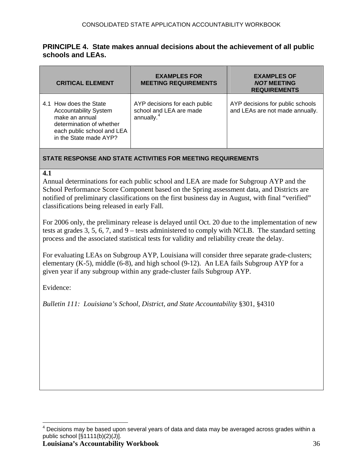## <span id="page-35-0"></span>**PRINCIPLE 4. State makes annual decisions about the achievement of all public schools and LEAs.**

| <b>CRITICAL ELEMENT</b>                                                                                                                                      | <b>EXAMPLES FOR</b><br><b>MEETING REQUIREMENTS</b>                                 | <b>EXAMPLES OF</b><br><b>NOT MEETING</b><br><b>REQUIREMENTS</b>     |
|--------------------------------------------------------------------------------------------------------------------------------------------------------------|------------------------------------------------------------------------------------|---------------------------------------------------------------------|
| 4.1 How does the State<br><b>Accountability System</b><br>make an annual<br>determination of whether<br>each public school and LEA<br>in the State made AYP? | AYP decisions for each public<br>school and LEA are made<br>annually. <sup>4</sup> | AYP decisions for public schools<br>and LEAs are not made annually. |

#### **STATE RESPONSE AND STATE ACTIVITIES FOR MEETING REQUIREMENTS**

#### **4.1**

Annual determinations for each public school and LEA are made for Subgroup AYP and the School Performance Score Component based on the Spring assessment data, and Districts are notified of preliminary classifications on the first business day in August, with final "verified" classifications being released in early Fall.

For 2006 only, the preliminary release is delayed until Oct. 20 due to the implementation of new tests at grades 3, 5, 6, 7, and 9 – tests administered to comply with NCLB. The standard setting process and the associated statistical tests for validity and reliability create the delay.

For evaluating LEAs on Subgroup AYP, Louisiana will consider three separate grade-clusters; elementary  $(K-5)$ , middle  $(6-8)$ , and high school  $(9-12)$ . An LEA fails Subgroup AYP for a given year if any subgroup within any grade-cluster fails Subgroup AYP.

Evidence:

<sup>————————————————————&</sup>lt;br><sup>4</sup> Decisions may be based upon several years of data and data may be averaged across grades within a public school  $[\S1111(b)(2)(J)].$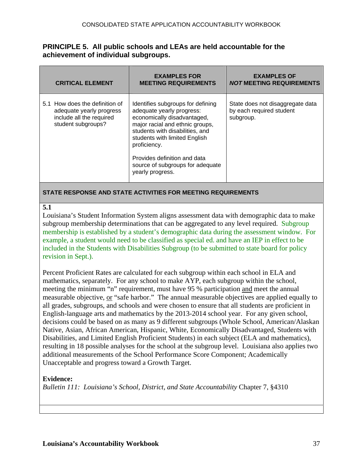## **PRINCIPLE 5. All public schools and LEAs are held accountable for the achievement of individual subgroups.**

| <b>CRITICAL ELEMENT</b>                                                                                      | <b>EXAMPLES FOR</b><br><b>MEETING REQUIREMENTS</b>                                                                                                                                                                                                                                                           | <b>EXAMPLES OF</b><br><b>NOT MEETING REQUIREMENTS</b>                     |
|--------------------------------------------------------------------------------------------------------------|--------------------------------------------------------------------------------------------------------------------------------------------------------------------------------------------------------------------------------------------------------------------------------------------------------------|---------------------------------------------------------------------------|
| 5.1 How does the definition of<br>adequate yearly progress<br>include all the required<br>student subgroups? | Identifies subgroups for defining<br>adequate yearly progress:<br>economically disadvantaged,<br>major racial and ethnic groups,<br>students with disabilities, and<br>students with limited English<br>proficiency.<br>Provides definition and data<br>source of subgroups for adequate<br>yearly progress. | State does not disaggregate data<br>by each required student<br>subgroup. |
|                                                                                                              |                                                                                                                                                                                                                                                                                                              |                                                                           |

#### **STATE RESPONSE AND STATE ACTIVITIES FOR MEETING REQUIREMENTS**

#### **5.1**

Louisiana's Student Information System aligns assessment data with demographic data to make subgroup membership determinations that can be aggregated to any level required. Subgroup membership is established by a student's demographic data during the assessment window. For example, a student would need to be classified as special ed. and have an IEP in effect to be included in the Students with Disabilities Subgroup (to be submitted to state board for policy revision in Sept.).

Percent Proficient Rates are calculated for each subgroup within each school in ELA and mathematics, separately. For any school to make AYP, each subgroup within the school, meeting the minimum "n" requirement, must have 95 % participation and meet the annual measurable objective, or "safe harbor." The annual measurable objectives are applied equally to all grades, subgroups, and schools and were chosen to ensure that all students are proficient in English-language arts and mathematics by the 2013-2014 school year. For any given school, decisions could be based on as many as 9 different subgroups (Whole School, American/Alaskan Native, Asian, African American, Hispanic, White, Economically Disadvantaged, Students with Disabilities, and Limited English Proficient Students) in each subject (ELA and mathematics), resulting in 18 possible analyses for the school at the subgroup level. Louisiana also applies two additional measurements of the School Performance Score Component; Academically Unacceptable and progress toward a Growth Target.

## **Evidence:**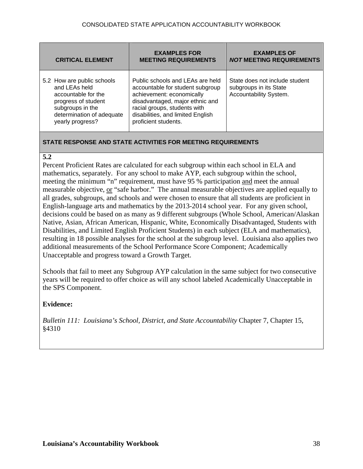| <b>CRITICAL ELEMENT</b>                                                                                                                                        | <b>EXAMPLES FOR</b><br><b>MEETING REQUIREMENTS</b>                                                                                                                                                                                | <b>EXAMPLES OF</b><br><b>NOT MEETING REQUIREMENTS</b>                              |
|----------------------------------------------------------------------------------------------------------------------------------------------------------------|-----------------------------------------------------------------------------------------------------------------------------------------------------------------------------------------------------------------------------------|------------------------------------------------------------------------------------|
| 5.2 How are public schools<br>and LEAs held<br>accountable for the<br>progress of student<br>subgroups in the<br>determination of adequate<br>yearly progress? | Public schools and LEAs are held<br>accountable for student subgroup<br>achievement: economically<br>disadvantaged, major ethnic and<br>racial groups, students with<br>disabilities, and limited English<br>proficient students. | State does not include student<br>subgroups in its State<br>Accountability System. |

#### **5.2**

Percent Proficient Rates are calculated for each subgroup within each school in ELA and mathematics, separately. For any school to make AYP, each subgroup within the school, meeting the minimum "n" requirement, must have 95 % participation and meet the annual measurable objective, or "safe harbor." The annual measurable objectives are applied equally to all grades, subgroups, and schools and were chosen to ensure that all students are proficient in English-language arts and mathematics by the 2013-2014 school year. For any given school, decisions could be based on as many as 9 different subgroups (Whole School, American/Alaskan Native, Asian, African American, Hispanic, White, Economically Disadvantaged, Students with Disabilities, and Limited English Proficient Students) in each subject (ELA and mathematics), resulting in 18 possible analyses for the school at the subgroup level. Louisiana also applies two additional measurements of the School Performance Score Component; Academically Unacceptable and progress toward a Growth Target.

Schools that fail to meet any Subgroup AYP calculation in the same subject for two consecutive years will be required to offer choice as will any school labeled Academically Unacceptable in the SPS Component.

## **Evidence:**

*Bulletin 111: Louisiana's School, District, and State Accountability* Chapter 7, Chapter 15, §4310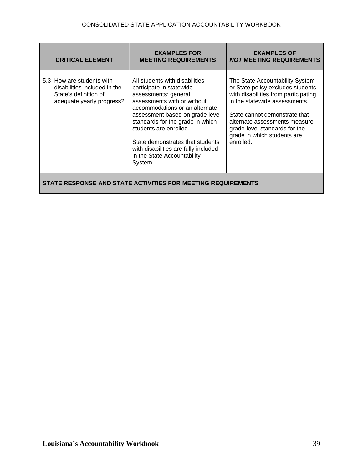| <b>CRITICAL ELEMENT</b>                                                                                         | <b>EXAMPLES FOR</b><br><b>MEETING REQUIREMENTS</b>                                                                                                                                                                                                                                                                                                                         | <b>EXAMPLES OF</b><br><b>NOT MEETING REQUIREMENTS</b>                                                                                                                                                                                                                                        |
|-----------------------------------------------------------------------------------------------------------------|----------------------------------------------------------------------------------------------------------------------------------------------------------------------------------------------------------------------------------------------------------------------------------------------------------------------------------------------------------------------------|----------------------------------------------------------------------------------------------------------------------------------------------------------------------------------------------------------------------------------------------------------------------------------------------|
| 5.3 How are students with<br>disabilities included in the<br>State's definition of<br>adequate yearly progress? | All students with disabilities<br>participate in statewide<br>assessments: general<br>assessments with or without<br>accommodations or an alternate<br>assessment based on grade level<br>standards for the grade in which<br>students are enrolled.<br>State demonstrates that students<br>with disabilities are fully included<br>in the State Accountability<br>System. | The State Accountability System<br>or State policy excludes students<br>with disabilities from participating<br>in the statewide assessments.<br>State cannot demonstrate that<br>alternate assessments measure<br>grade-level standards for the<br>grade in which students are<br>enrolled. |
|                                                                                                                 | STATE RESPONSE AND STATE ACTIVITIES FOR MEETING REQUIREMENTS                                                                                                                                                                                                                                                                                                               |                                                                                                                                                                                                                                                                                              |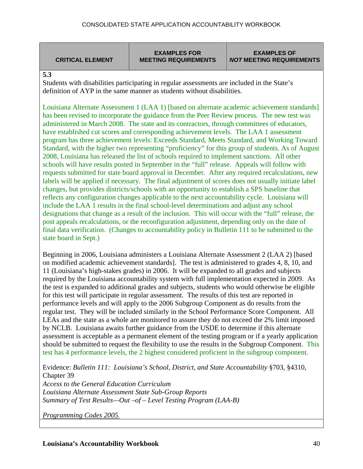**CRITICAL ELEMENT** 

**EXAMPLES FOR MEETING REQUIREMENTS** 

**EXAMPLES OF**  *NOT* **MEETING REQUIREMENTS**

**5.3** 

Students with disabilities participating in regular assessments are included in the State's definition of AYP in the same manner as students without disabilities.

Louisiana Alternate Assessment 1 (LAA 1) [based on alternate academic achievement standards] has been revised to incorporate the guidance from the Peer Review process. The new test was administered in March 2008. The state and its contractors, through committees of educators, have established cut scores and corresponding achievement levels. The LAA 1 assessment program has three achievement levels: Exceeds Standard, Meets Standard, and Working Toward Standard, with the higher two representing "proficiency" for this group of students. As of August 2008, Louisiana has released the list of schools required to implement sanctions. All other schools will have results posted in September in the "full" release. Appeals will follow with requests submitted for state board approval in December. After any required recalculations, new labels will be applied if necessary. The final adjustment of scores does not usually initiate label changes, but provides districts/schools with an opportunity to establish a SPS baseline that reflects any configuration changes applicable to the next accountability cycle. Louisiana will include the LAA 1 results in the final school-level determinations and adjust any school designations that change as a result of the inclusion. This will occur with the "full" release, the post appeals recalculations, or the reconfiguration adjustment, depending only on the date of final data verification. (Changes to accountability policy in Bulletin 111 to be submitted to the state board in Sept.)

Beginning in 2006, Louisiana administers a Louisiana Alternate Assessment 2 (LAA 2) [based on modified academic achievement standards]. The test is administered to grades 4, 8, 10, and 11 (Louisiana's high-stakes grades) in 2006. It will be expanded to all grades and subjects required by the Louisiana accountability system with full implementation expected in 2009. As the test is expanded to additional grades and subjects, students who would otherwise be eligible for this test will participate in regular assessment. The results of this test are reported in performance levels and will apply to the 2006 Subgroup Component as do results from the regular test. They will be included similarly in the School Performance Score Component. All LEAs and the state as a whole are monitored to assure they do not exceed the 2% limit imposed by NCLB. Louisiana awaits further guidance from the USDE to determine if this alternate assessment is acceptable as a permanent element of the testing program or if a yearly application should be submitted to request the flexibility to use the results in the Subgroup Component. This test has 4 performance levels, the 2 highest considered proficient in the subgroup component.

Evidence: *Bulletin 111: Louisiana's School, District, and State Accountability* §703, §4310, Chapter 39 *Access to the General Education Curriculum Louisiana Alternate Assessment State Sub-Group Reports Summary of Test Results—Out –of – Level Testing Program (LAA-B)* 

*Programming Codes 2005.*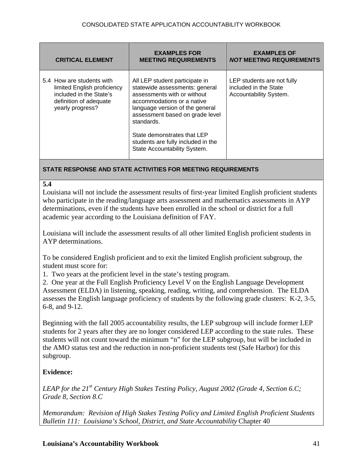| <b>CRITICAL ELEMENT</b>                                                                                                           | <b>EXAMPLES FOR</b><br><b>MEETING REQUIREMENTS</b>                                                                                                                                                                                                                                                                     | <b>EXAMPLES OF</b><br><b>NOT MEETING REQUIREMENTS</b>                         |
|-----------------------------------------------------------------------------------------------------------------------------------|------------------------------------------------------------------------------------------------------------------------------------------------------------------------------------------------------------------------------------------------------------------------------------------------------------------------|-------------------------------------------------------------------------------|
| 5.4 How are students with<br>limited English proficiency<br>included in the State's<br>definition of adequate<br>yearly progress? | All LEP student participate in<br>statewide assessments: general<br>assessments with or without<br>accommodations or a native<br>language version of the general<br>assessment based on grade level<br>standards.<br>State demonstrates that LEP<br>students are fully included in the<br>State Accountability System. | LEP students are not fully<br>included in the State<br>Accountability System. |

#### **5.4**

Louisiana will not include the assessment results of first-year limited English proficient students who participate in the reading/language arts assessment and mathematics assessments in AYP determinations, even if the students have been enrolled in the school or district for a full academic year according to the Louisiana definition of FAY.

Louisiana will include the assessment results of all other limited English proficient students in AYP determinations.

To be considered English proficient and to exit the limited English proficient subgroup, the student must score for:

1. Two years at the proficient level in the state's testing program.

2. One year at the Full English Proficiency Level V on the English Language Development Assessment (ELDA) in listening, speaking, reading, writing, and comprehension. The ELDA assesses the English language proficiency of students by the following grade clusters: K-2, 3-5, 6-8, and 9-12.

Beginning with the fall 2005 accountability results, the LEP subgroup will include former LEP students for 2 years after they are no longer considered LEP according to the state rules. These students will not count toward the minimum "n" for the LEP subgroup, but will be included in the AMO status test and the reduction in non-proficient students test (Safe Harbor) for this subgroup.

## **Evidence:**

*LEAP for the 21st Century High Stakes Testing Policy, August 2002 (Grade 4, Section 6.C; Grade 8, Section 8.C*

*Memorandum: Revision of High Stakes Testing Policy and Limited English Proficient Students Bulletin 111: Louisiana's School, District, and State Accountability* Chapter 40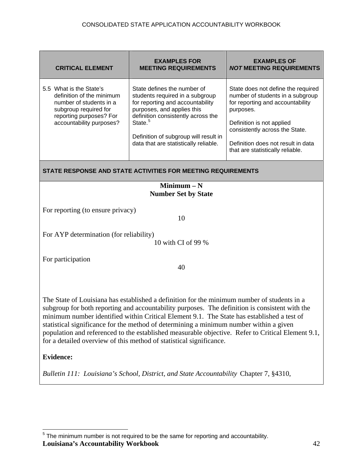<span id="page-41-0"></span>

| <b>CRITICAL ELEMENT</b>                                                                                                                                                                                                                                                                                                                                                                                                                                                                                                                                                               | <b>EXAMPLES FOR</b><br><b>MEETING REQUIREMENTS</b>                                                                                                                                                                                                                              | <b>EXAMPLES OF</b><br><b>NOT MEETING REQUIREMENTS</b>                                                                                                                                                                                                            |  |
|---------------------------------------------------------------------------------------------------------------------------------------------------------------------------------------------------------------------------------------------------------------------------------------------------------------------------------------------------------------------------------------------------------------------------------------------------------------------------------------------------------------------------------------------------------------------------------------|---------------------------------------------------------------------------------------------------------------------------------------------------------------------------------------------------------------------------------------------------------------------------------|------------------------------------------------------------------------------------------------------------------------------------------------------------------------------------------------------------------------------------------------------------------|--|
| 5.5 What is the State's<br>definition of the minimum<br>number of students in a<br>subgroup required for<br>reporting purposes? For<br>accountability purposes?                                                                                                                                                                                                                                                                                                                                                                                                                       | State defines the number of<br>students required in a subgroup<br>for reporting and accountability<br>purposes, and applies this<br>definition consistently across the<br>State. <sup>5</sup><br>Definition of subgroup will result in<br>data that are statistically reliable. | State does not define the required<br>number of students in a subgroup<br>for reporting and accountability<br>purposes.<br>Definition is not applied<br>consistently across the State.<br>Definition does not result in data<br>that are statistically reliable. |  |
|                                                                                                                                                                                                                                                                                                                                                                                                                                                                                                                                                                                       | STATE RESPONSE AND STATE ACTIVITIES FOR MEETING REQUIREMENTS                                                                                                                                                                                                                    |                                                                                                                                                                                                                                                                  |  |
|                                                                                                                                                                                                                                                                                                                                                                                                                                                                                                                                                                                       | Minimum $- N$<br><b>Number Set by State</b>                                                                                                                                                                                                                                     |                                                                                                                                                                                                                                                                  |  |
| For reporting (to ensure privacy)<br>10                                                                                                                                                                                                                                                                                                                                                                                                                                                                                                                                               |                                                                                                                                                                                                                                                                                 |                                                                                                                                                                                                                                                                  |  |
| For AYP determination (for reliability)<br>10 with CI of 99 %                                                                                                                                                                                                                                                                                                                                                                                                                                                                                                                         |                                                                                                                                                                                                                                                                                 |                                                                                                                                                                                                                                                                  |  |
| For participation<br>40                                                                                                                                                                                                                                                                                                                                                                                                                                                                                                                                                               |                                                                                                                                                                                                                                                                                 |                                                                                                                                                                                                                                                                  |  |
| The State of Louisiana has established a definition for the minimum number of students in a<br>subgroup for both reporting and accountability purposes. The definition is consistent with the<br>minimum number identified within Critical Element 9.1. The State has established a test of<br>statistical significance for the method of determining a minimum number within a given<br>population and referenced to the established measurable objective. Refer to Critical Element 9.1,<br>for a detailed overview of this method of statistical significance.<br><b>Evidence:</b> |                                                                                                                                                                                                                                                                                 |                                                                                                                                                                                                                                                                  |  |
| Bulletin 111: Louisiana's School, District, and State Accountability Chapter 7, §4310,                                                                                                                                                                                                                                                                                                                                                                                                                                                                                                |                                                                                                                                                                                                                                                                                 |                                                                                                                                                                                                                                                                  |  |

**Louisiana's Accountability Workbook** 42 <u>Figure 20 mecanine metal</u><br><sup>5</sup> The minimum number is not required to be the same for reporting and accountability.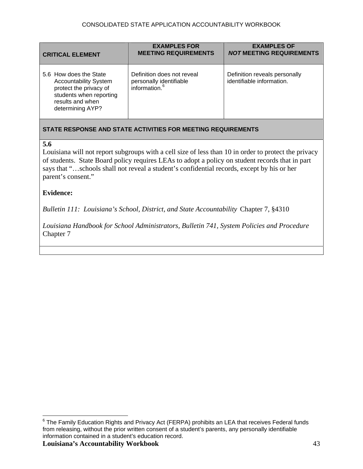<span id="page-42-0"></span>

| <b>CRITICAL ELEMENT</b>                                                                                                                             | <b>EXAMPLES FOR</b><br><b>MEETING REQUIREMENTS</b>                        | <b>EXAMPLES OF</b><br><b>NOT MEETING REQUIREMENTS</b>      |
|-----------------------------------------------------------------------------------------------------------------------------------------------------|---------------------------------------------------------------------------|------------------------------------------------------------|
| 5.6 How does the State<br><b>Accountability System</b><br>protect the privacy of<br>students when reporting<br>results and when<br>determining AYP? | Definition does not reveal<br>personally identifiable<br>information. $6$ | Definition reveals personally<br>identifiable information. |

#### **5.6**

Louisiana will not report subgroups with a cell size of less than 10 in order to protect the privacy of students. State Board policy requires LEAs to adopt a policy on student records that in part says that "…schools shall not reveal a student's confidential records, except by his or her parent's consent."

#### **Evidence:**

*Bulletin 111: Louisiana's School, District, and State Accountability* Chapter 7, §4310

*Louisiana Handbook for School Administrators, Bulletin 741, System Policies and Procedure*  Chapter 7

<sup>————————————————————&</sup>lt;br><sup>6</sup> The Family Education Rights and Privacy Act (FERPA) prohibits an LEA that receives Federal funds from releasing, without the prior written consent of a student's parents, any personally identifiable information contained in a student's education record.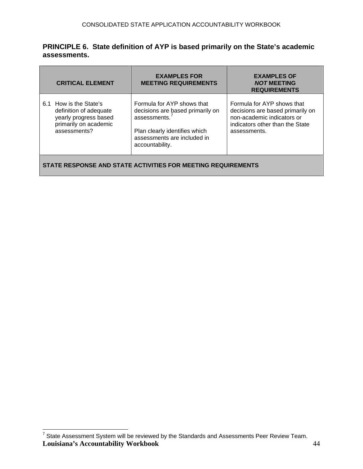# <span id="page-43-0"></span>**PRINCIPLE 6. State definition of AYP is based primarily on the State's academic assessments.**

| <b>CRITICAL ELEMENT</b>                                                                                               | <b>EXAMPLES FOR</b><br><b>MEETING REQUIREMENTS</b>                                                                                                                    | <b>EXAMPLES OF</b><br><b>NOT MEETING</b><br><b>REQUIREMENTS</b>                                                                                 |
|-----------------------------------------------------------------------------------------------------------------------|-----------------------------------------------------------------------------------------------------------------------------------------------------------------------|-------------------------------------------------------------------------------------------------------------------------------------------------|
| How is the State's<br>6.1<br>definition of adequate<br>yearly progress based<br>primarily on academic<br>assessments? | Formula for AYP shows that<br>decisions are based primarily on<br>assessments. $7$<br>Plan clearly identifies which<br>assessments are included in<br>accountability. | Formula for AYP shows that<br>decisions are based primarily on<br>non-academic indicators or<br>indicators other than the State<br>assessments. |
| STATE RESPONSE AND STATE ACTIVITIES FOR MEETING REQUIREMENTS                                                          |                                                                                                                                                                       |                                                                                                                                                 |

**Louisiana's Accountability Workbook** 44 ————————————————————<br><sup>7</sup> State Assessment System will be reviewed by the Standards and Assessments Peer Review Team.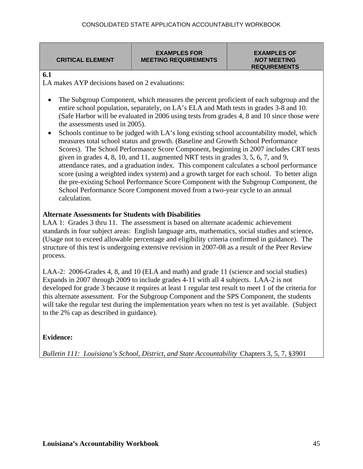**EXAMPLES FOR MEETING REQUIREMENTS** 

**EXAMPLES OF**  *NOT* **MEETING REQUIREMENTS** 

#### **6.1**

LA makes AYP decisions based on 2 evaluations:

- The Subgroup Component, which measures the percent proficient of each subgroup and the entire school population, separately, on LA's ELA and Math tests in grades 3-8 and 10. (Safe Harbor will be evaluated in 2006 using tests from grades 4, 8 and 10 since those were the assessments used in 2005).
- Schools continue to be judged with LA's long existing school accountability model, which measures total school status and growth. (Baseline and Growth School Performance Scores). The School Performance Score Component, beginning in 2007 includes CRT tests given in grades 4, 8, 10, and 11, augmented NRT tests in grades 3, 5, 6, 7, and 9, attendance rates, and a graduation index. This component calculates a school performance score (using a weighted index system) and a growth target for each school. To better align the pre-existing School Performance Score Component with the Subgroup Component, the School Performance Score Component moved from a two-year cycle to an annual calculation*.*

# **Alternate Assessments for Students with Disabilities**

LAA 1: Grades 3 thru 11. The assessment is based on alternate academic achievement standards in four subject areas: English language arts, mathematics, social studies and science**.** (Usage not to exceed allowable percentage and eligibility criteria confirmed in guidance). The structure of this test is undergoing extensive revision in 2007-08 as a result of the Peer Review process.

LAA-2: 2006-Grades 4, 8, and 10 (ELA and math) and grade 11 (science and social studies) Expands in 2007 through 2009 to include grades 4-11 with all 4 subjects. LAA-2 is not developed for grade 3 because it requires at least 1 regular test result to meet 1 of the criteria for this alternate assessment. For the Subgroup Component and the SPS Component, the students will take the regular test during the implementation years when no test is yet available. (Subject to the 2% cap as described in guidance).

# **Evidence:**

*Bulletin 111: Louisiana's School, District, and State Accountability* Chapters 3, 5, 7, §3901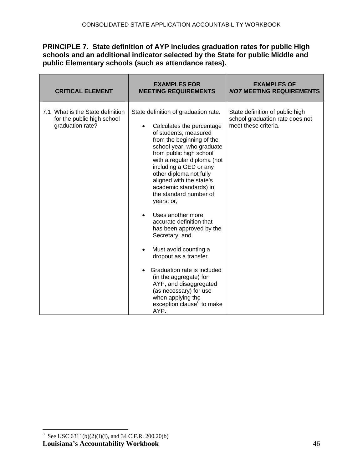# <span id="page-45-0"></span>**PRINCIPLE 7. State definition of AYP includes graduation rates for public High schools and an additional indicator selected by the State for public Middle and public Elementary schools (such as attendance rates).**

| <b>CRITICAL ELEMENT</b>                                                            | <b>EXAMPLES FOR</b><br><b>MEETING REQUIREMENTS</b>                                                                                                                                                                                                                                                                                                                                                                                                                                                                                                                                                                                                                                                                               | <b>EXAMPLES OF</b><br><b>NOT MEETING REQUIREMENTS</b>                                      |
|------------------------------------------------------------------------------------|----------------------------------------------------------------------------------------------------------------------------------------------------------------------------------------------------------------------------------------------------------------------------------------------------------------------------------------------------------------------------------------------------------------------------------------------------------------------------------------------------------------------------------------------------------------------------------------------------------------------------------------------------------------------------------------------------------------------------------|--------------------------------------------------------------------------------------------|
| 7.1 What is the State definition<br>for the public high school<br>graduation rate? | State definition of graduation rate:<br>Calculates the percentage<br>$\bullet$<br>of students, measured<br>from the beginning of the<br>school year, who graduate<br>from public high school<br>with a regular diploma (not<br>including a GED or any<br>other diploma not fully<br>aligned with the state's<br>academic standards) in<br>the standard number of<br>years; or,<br>Uses another more<br>accurate definition that<br>has been approved by the<br>Secretary; and<br>Must avoid counting a<br>dropout as a transfer.<br>Graduation rate is included<br>$\bullet$<br>(in the aggregate) for<br>AYP, and disaggregated<br>(as necessary) for use<br>when applying the<br>exception clause <sup>8</sup> to make<br>AYP. | State definition of public high<br>school graduation rate does not<br>meet these criteria. |

**Louisiana's Accountability Workbook** 46 <sup>8</sup> See USC 6311(b)(2)(I)(i), and 34 C.F.R. 200.20(b)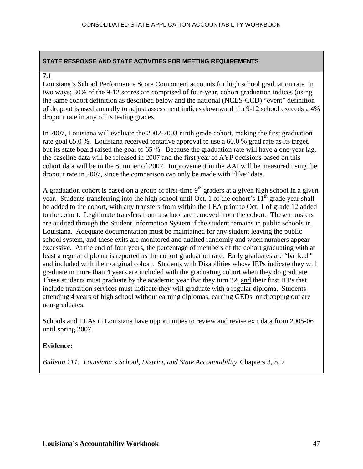#### **7.1**

Louisiana's School Performance Score Component accounts for high school graduation rate in two ways; 30% of the 9-12 scores are comprised of four-year, cohort graduation indices (using the same cohort definition as described below and the national (NCES-CCD) "event" definition of dropout is used annually to adjust assessment indices downward if a 9-12 school exceeds a 4% dropout rate in any of its testing grades.

In 2007, Louisiana will evaluate the 2002-2003 ninth grade cohort, making the first graduation rate goal 65.0 %. Louisiana received tentative approval to use a 60.0 % grad rate as its target, but its state board raised the goal to 65 %. Because the graduation rate will have a one-year lag, the baseline data will be released in 2007 and the first year of AYP decisions based on this cohort data will be in the Summer of 2007. Improvement in the AAI will be measured using the dropout rate in 2007, since the comparison can only be made with "like" data.

A graduation cohort is based on a group of first-time  $9<sup>th</sup>$  graders at a given high school in a given year. Students transferring into the high school until Oct. 1 of the cohort's  $11<sup>th</sup>$  grade year shall be added to the cohort, with any transfers from within the LEA prior to Oct. 1 of grade 12 added to the cohort. Legitimate transfers from a school are removed from the cohort. These transfers are audited through the Student Information System if the student remains in public schools in Louisiana. Adequate documentation must be maintained for any student leaving the public school system, and these exits are monitored and audited randomly and when numbers appear excessive. At the end of four years, the percentage of members of the cohort graduating with at least a regular diploma is reported as the cohort graduation rate. Early graduates are "banked" and included with their original cohort. Students with Disabilities whose IEPs indicate they will graduate in more than 4 years are included with the graduating cohort when they do graduate. These students must graduate by the academic year that they turn 22, and their first IEPs that include transition services must indicate they will graduate with a regular diploma. Students attending 4 years of high school without earning diplomas, earning GEDs, or dropping out are non-graduates.

Schools and LEAs in Louisiana have opportunities to review and revise exit data from 2005-06 until spring 2007.

## **Evidence:**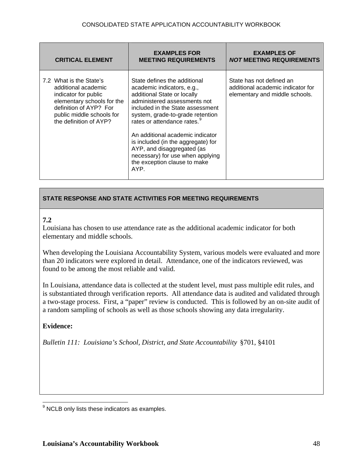<span id="page-47-0"></span>

| <b>CRITICAL ELEMENT</b>                                                                                                                                                               | <b>EXAMPLES FOR</b><br><b>MEETING REQUIREMENTS</b>                                                                                                                                                                                                                                                                                                                                                                               | <b>EXAMPLES OF</b><br><b>NOT MEETING REQUIREMENTS</b>                                           |
|---------------------------------------------------------------------------------------------------------------------------------------------------------------------------------------|----------------------------------------------------------------------------------------------------------------------------------------------------------------------------------------------------------------------------------------------------------------------------------------------------------------------------------------------------------------------------------------------------------------------------------|-------------------------------------------------------------------------------------------------|
| 7.2 What is the State's<br>additional academic<br>indicator for public<br>elementary schools for the<br>definition of AYP? For<br>public middle schools for<br>the definition of AYP? | State defines the additional<br>academic indicators, e.g.,<br>additional State or locally<br>administered assessments not<br>included in the State assessment<br>system, grade-to-grade retention<br>rates or attendance rates. <sup>9</sup><br>An additional academic indicator<br>is included (in the aggregate) for<br>AYP, and disaggregated (as<br>necessary) for use when applying<br>the exception clause to make<br>AYP. | State has not defined an<br>additional academic indicator for<br>elementary and middle schools. |

## **7.2**

Louisiana has chosen to use attendance rate as the additional academic indicator for both elementary and middle schools.

When developing the Louisiana Accountability System, various models were evaluated and more than 20 indicators were explored in detail. Attendance, one of the indicators reviewed, was found to be among the most reliable and valid.

In Louisiana, attendance data is collected at the student level, must pass multiple edit rules, and is substantiated through verification reports. All attendance data is audited and validated through a two-stage process. First, a "paper" review is conducted. This is followed by an on-site audit of a random sampling of schools as well as those schools showing any data irregularity.

# **Evidence:**

 $\overline{a}$  $<sup>9</sup>$  NCLB only lists these indicators as examples.</sup>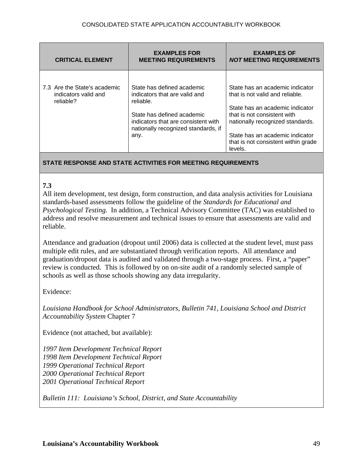| <b>CRITICAL ELEMENT</b>                                           | <b>EXAMPLES FOR</b><br><b>MEETING REQUIREMENTS</b>                                                                                                                                           | <b>EXAMPLES OF</b><br><b>NOT MEETING REQUIREMENTS</b>                                                                                                                                                                                                         |
|-------------------------------------------------------------------|----------------------------------------------------------------------------------------------------------------------------------------------------------------------------------------------|---------------------------------------------------------------------------------------------------------------------------------------------------------------------------------------------------------------------------------------------------------------|
| 7.3 Are the State's academic<br>indicators valid and<br>reliable? | State has defined academic<br>indicators that are valid and<br>reliable.<br>State has defined academic<br>indicators that are consistent with<br>nationally recognized standards, if<br>any. | State has an academic indicator<br>that is not valid and reliable.<br>State has an academic indicator<br>that is not consistent with<br>nationally recognized standards.<br>State has an academic indicator<br>that is not consistent within grade<br>levels. |

# **7.3**

All item development, test design, form construction, and data analysis activities for Louisiana standards-based assessments follow the guideline of the *Standards for Educational and Psychological Testing.* In addition, a Technical Advisory Committee (TAC) was established to address and resolve measurement and technical issues to ensure that assessments are valid and reliable.

Attendance and graduation (dropout until 2006) data is collected at the student level, must pass multiple edit rules, and are substantiated through verification reports. All attendance and graduation/dropout data is audited and validated through a two-stage process. First, a "paper" review is conducted. This is followed by on on-site audit of a randomly selected sample of schools as well as those schools showing any data irregularity.

Evidence:

*Louisiana Handbook for School Administrators, Bulletin 741, Louisiana School and District Accountability System* Chapter 7

Evidence (not attached, but available):

*1997 Item Development Technical Report 1998 Item Development Technical Report 1999 Operational Technical Report 2000 Operational Technical Report 2001 Operational Technical Report*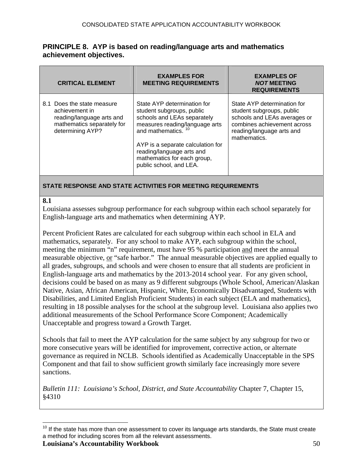#### <span id="page-49-0"></span>**PRINCIPLE 8. AYP is based on reading/language arts and mathematics achievement objectives.**

| <b>CRITICAL ELEMENT</b>                                                                                                     | <b>EXAMPLES FOR</b><br><b>MEETING REQUIREMENTS</b>                                                                                                                                                                                                                        | <b>EXAMPLES OF</b><br><b>NOT MEETING</b><br><b>REQUIREMENTS</b>                                                                                                      |
|-----------------------------------------------------------------------------------------------------------------------------|---------------------------------------------------------------------------------------------------------------------------------------------------------------------------------------------------------------------------------------------------------------------------|----------------------------------------------------------------------------------------------------------------------------------------------------------------------|
| 8.1 Does the state measure<br>achievement in<br>reading/language arts and<br>mathematics separately for<br>determining AYP? | State AYP determination for<br>student subgroups, public<br>schools and LEAs separately<br>measures reading/language arts<br>and mathematics.<br>AYP is a separate calculation for<br>reading/language arts and<br>mathematics for each group,<br>public school, and LEA. | State AYP determination for<br>student subgroups, public<br>schools and LEAs averages or<br>combines achievement across<br>reading/language arts and<br>mathematics. |

## **STATE RESPONSE AND STATE ACTIVITIES FOR MEETING REQUIREMENTS**

#### **8.1**

 $\overline{a}$ 

Louisiana assesses subgroup performance for each subgroup within each school separately for English-language arts and mathematics when determining AYP.

Percent Proficient Rates are calculated for each subgroup within each school in ELA and mathematics, separately. For any school to make AYP, each subgroup within the school, meeting the minimum "n" requirement, must have 95 % participation and meet the annual measurable objective, or "safe harbor." The annual measurable objectives are applied equally to all grades, subgroups, and schools and were chosen to ensure that all students are proficient in English-language arts and mathematics by the 2013-2014 school year. For any given school, decisions could be based on as many as 9 different subgroups (Whole School, American/Alaskan Native, Asian, African American, Hispanic, White, Economically Disadvantaged, Students with Disabilities, and Limited English Proficient Students) in each subject (ELA and mathematics), resulting in 18 possible analyses for the school at the subgroup level. Louisiana also applies two additional measurements of the School Performance Score Component; Academically Unacceptable and progress toward a Growth Target.

Schools that fail to meet the AYP calculation for the same subject by any subgroup for two or more consecutive years will be identified for improvement, corrective action, or alternate governance as required in NCLB. Schools identified as Academically Unacceptable in the SPS Component and that fail to show sufficient growth similarly face increasingly more severe sanctions.

*Bulletin 111: Louisiana's School, District, and State Accountability* Chapter 7, Chapter 15, §4310

**Louisiana's Accountability Workbook** 50  $10$  If the state has more than one assessment to cover its language arts standards, the State must create a method for including scores from all the relevant assessments.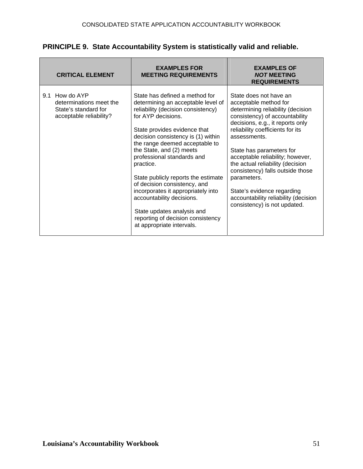| PRINCIPLE 9. State Accountability System is statistically valid and reliable. |  |  |  |
|-------------------------------------------------------------------------------|--|--|--|
|-------------------------------------------------------------------------------|--|--|--|

| <b>CRITICAL ELEMENT</b>                                                                      | <b>EXAMPLES FOR</b><br><b>MEETING REQUIREMENTS</b>                                                                                                                                                                                                                                                                                                                                                                                                                                                                                                        | <b>EXAMPLES OF</b><br><b>NOT MEETING</b><br><b>REQUIREMENTS</b>                                                                                                                                                                                                                                                                                                                                                                                                             |
|----------------------------------------------------------------------------------------------|-----------------------------------------------------------------------------------------------------------------------------------------------------------------------------------------------------------------------------------------------------------------------------------------------------------------------------------------------------------------------------------------------------------------------------------------------------------------------------------------------------------------------------------------------------------|-----------------------------------------------------------------------------------------------------------------------------------------------------------------------------------------------------------------------------------------------------------------------------------------------------------------------------------------------------------------------------------------------------------------------------------------------------------------------------|
| 9.1 How do AYP<br>determinations meet the<br>State's standard for<br>acceptable reliability? | State has defined a method for<br>determining an acceptable level of<br>reliability (decision consistency)<br>for AYP decisions.<br>State provides evidence that<br>decision consistency is (1) within<br>the range deemed acceptable to<br>the State, and (2) meets<br>professional standards and<br>practice.<br>State publicly reports the estimate<br>of decision consistency, and<br>incorporates it appropriately into<br>accountability decisions.<br>State updates analysis and<br>reporting of decision consistency<br>at appropriate intervals. | State does not have an<br>acceptable method for<br>determining reliability (decision<br>consistency) of accountability<br>decisions, e.g., it reports only<br>reliability coefficients for its<br>assessments.<br>State has parameters for<br>acceptable reliability; however,<br>the actual reliability (decision<br>consistency) falls outside those<br>parameters.<br>State's evidence regarding<br>accountability reliability (decision<br>consistency) is not updated. |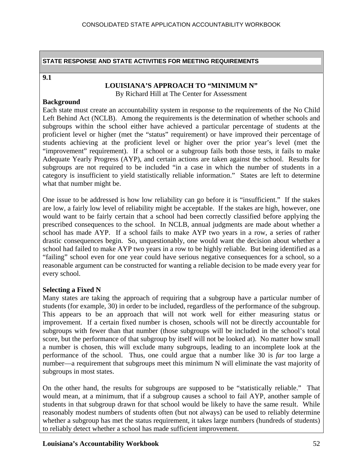#### **9.1**

#### **LOUISIANA'S APPROACH TO "MINIMUM N"**

By Richard Hill at The Center for Assessment

#### **Background**

Each state must create an accountability system in response to the requirements of the No Child Left Behind Act (NCLB). Among the requirements is the determination of whether schools and subgroups within the school either have achieved a particular percentage of students at the proficient level or higher (met the "status" requirement) or have improved their percentage of students achieving at the proficient level or higher over the prior year's level (met the "improvement" requirement). If a school or a subgroup fails both those tests, it fails to make Adequate Yearly Progress (AYP), and certain actions are taken against the school. Results for subgroups are not required to be included "in a case in which the number of students in a category is insufficient to yield statistically reliable information." States are left to determine what that number might be.

One issue to be addressed is how low reliability can go before it is "insufficient." If the stakes are low, a fairly low level of reliability might be acceptable. If the stakes are high, however, one would want to be fairly certain that a school had been correctly classified before applying the prescribed consequences to the school. In NCLB, annual judgments are made about whether a school has made AYP. If a school fails to make AYP two years in a row, a series of rather drastic consequences begin. So, unquestionably, one would want the decision about whether a school had failed to make AYP two years in a row to be highly reliable. But being identified as a "failing" school even for one year could have serious negative consequences for a school, so a reasonable argument can be constructed for wanting a reliable decision to be made every year for every school.

## **Selecting a Fixed N**

Many states are taking the approach of requiring that a subgroup have a particular number of students (for example, 30) in order to be included, regardless of the performance of the subgroup. This appears to be an approach that will not work well for either measuring status or improvement. If a certain fixed number is chosen, schools will not be directly accountable for subgroups with fewer than that number (those subgroups will be included in the school's total score, but the performance of that subgroup by itself will not be looked at). No matter how small a number is chosen, this will exclude many subgroups, leading to an incomplete look at the performance of the school. Thus, one could argue that a number like 30 is *far* too large a number—a requirement that subgroups meet this minimum N will eliminate the vast majority of subgroups in most states.

On the other hand, the results for subgroups are supposed to be "statistically reliable." That would mean, at a minimum, that if a subgroup causes a school to fail AYP, another sample of students in that subgroup drawn for that school would be likely to have the same result. While reasonably modest numbers of students often (but not always) can be used to reliably determine whether a subgroup has met the status requirement, it takes large numbers (hundreds of students) to reliably detect whether a school has made sufficient improvement.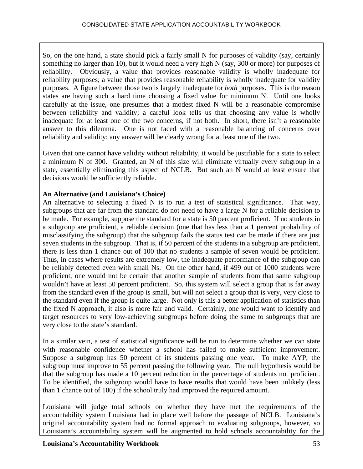So, on the one hand, a state should pick a fairly small N for purposes of validity (say, certainly something no larger than 10), but it would need a very high N (say, 300 or more) for purposes of reliability. Obviously, a value that provides reasonable validity is wholly inadequate for reliability purposes; a value that provides reasonable reliability is wholly inadequate for validity purposes. A figure between those two is largely inadequate for *both* purposes. This is the reason states are having such a hard time choosing a fixed value for minimum N. Until one looks carefully at the issue, one presumes that a modest fixed N will be a reasonable compromise between reliability and validity; a careful look tells us that choosing any value is wholly inadequate for at least one of the two concerns, if not both. In short, there isn't a reasonable answer to this dilemma. One is not faced with a reasonable balancing of concerns over reliability and validity; any answer will be clearly wrong for at least one of the two.

Given that one cannot have validity without reliability, it would be justifiable for a state to select a minimum N of 300. Granted, an N of this size will eliminate virtually every subgroup in a state, essentially eliminating this aspect of NCLB. But such an N would at least ensure that decisions would be sufficiently reliable.

# **An Alternative (and Louisiana's Choice)**

An alternative to selecting a fixed N is to run a test of statistical significance. That way, subgroups that are far from the standard do not need to have a large N for a reliable decision to be made. For example, suppose the standard for a state is 50 percent proficient. If no students in a subgroup are proficient, a reliable decision (one that has less than a 1 percent probability of misclassifying the subgroup) that the subgroup fails the status test can be made if there are just seven students in the subgroup. That is, if 50 percent of the students in a subgroup are proficient, there is less than 1 chance out of 100 that no students a sample of seven would be proficient. Thus, in cases where results are extremely low, the inadequate performance of the subgroup can be reliably detected even with small Ns. On the other hand, if 499 out of 1000 students were proficient, one would not be certain that another sample of students from that same subgroup wouldn't have at least 50 percent proficient. So, this system will select a group that is far away from the standard even if the group is small, but will not select a group that is very, very close to the standard even if the group is quite large. Not only is this a better application of statistics than the fixed N approach, it also is more fair and valid. Certainly, one would want to identify and target resources to very low-achieving subgroups before doing the same to subgroups that are very close to the state's standard.

In a similar vein, a test of statistical significance will be run to determine whether we can state with reasonable confidence whether a school has failed to make sufficient improvement. Suppose a subgroup has 50 percent of its students passing one year. To make AYP, the subgroup must improve to 55 percent passing the following year. The null hypothesis would be that the subgroup has made a 10 percent reduction in the percentage of students not proficient. To be identified, the subgroup would have to have results that would have been unlikely (less than 1 chance out of 100) if the school truly had improved the required amount.

Louisiana will judge total schools on whether they have met the requirements of the accountability system Louisiana had in place well before the passage of NCLB. Louisiana's original accountability system had no formal approach to evaluating subgroups, however, so Louisiana's accountability system will be augmented to hold schools accountability for the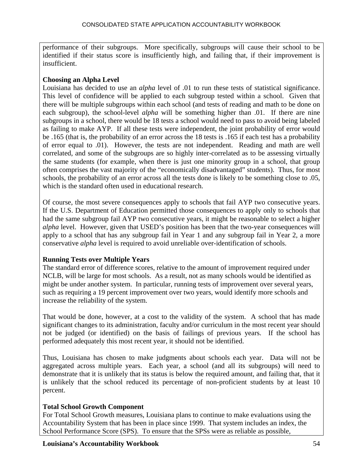performance of their subgroups. More specifically, subgroups will cause their school to be identified if their status score is insufficiently high, and failing that, if their improvement is insufficient.

# **Choosing an Alpha Level**

Louisiana has decided to use an *alpha* level of .01 to run these tests of statistical significance. This level of confidence will be applied to each subgroup tested within a school. Given that there will be multiple subgroups within each school (and tests of reading and math to be done on each subgroup), the school-level *alpha* will be something higher than .01. If there are nine subgroups in a school, there would be 18 tests a school would need to pass to avoid being labeled as failing to make AYP. If all these tests were independent, the joint probability of error would be .165 (that is, the probability of an error across the 18 tests is .165 if each test has a probability of error equal to .01). However, the tests are not independent. Reading and math are well correlated, and some of the subgroups are so highly inter-correlated as to be assessing virtually the same students (for example, when there is just one minority group in a school, that group often comprises the vast majority of the "economically disadvantaged" students). Thus, for most schools, the probability of an error across all the tests done is likely to be something close to .05, which is the standard often used in educational research.

Of course, the most severe consequences apply to schools that fail AYP two consecutive years. If the U.S. Department of Education permitted those consequences to apply only to schools that had the same subgroup fail AYP two consecutive years, it might be reasonable to select a higher *alpha* level. However, given that USED's position has been that the two-year consequences will apply to a school that has any subgroup fail in Year 1 and any subgroup fail in Year 2, a more conservative *alpha* level is required to avoid unreliable over-identification of schools.

# **Running Tests over Multiple Years**

The standard error of difference scores, relative to the amount of improvement required under NCLB, will be large for most schools. As a result, not as many schools would be identified as might be under another system. In particular, running tests of improvement over several years, such as requiring a 19 percent improvement over two years, would identify more schools and increase the reliability of the system.

That would be done, however, at a cost to the validity of the system. A school that has made significant changes to its administration, faculty and/or curriculum in the most recent year should not be judged (or identified) on the basis of failings of previous years. If the school has performed adequately this most recent year, it should not be identified.

Thus, Louisiana has chosen to make judgments about schools each year. Data will not be aggregated across multiple years. Each year, a school (and all its subgroups) will need to demonstrate that it is unlikely that its status is below the required amount, and failing that, that it is unlikely that the school reduced its percentage of non-proficient students by at least 10 percent.

# **Total School Growth Component**

For Total School Growth measures, Louisiana plans to continue to make evaluations using the Accountability System that has been in place since 1999. That system includes an index, the School Performance Score (SPS). To ensure that the SPSs were as reliable as possible,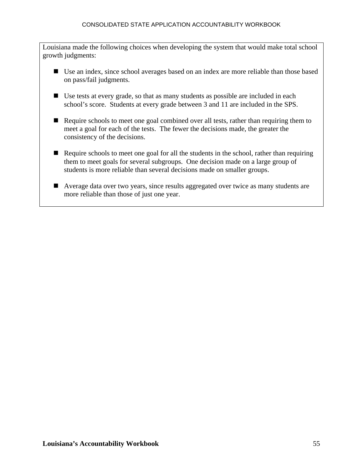#### CONSOLIDATED STATE APPLICATION ACCOUNTABILITY WORKBOOK

Louisiana made the following choices when developing the system that would make total school growth judgments:

- Use an index, since school averages based on an index are more reliable than those based on pass/fail judgments.
- Use tests at every grade, so that as many students as possible are included in each school's score. Students at every grade between 3 and 11 are included in the SPS.
- Require schools to meet one goal combined over all tests, rather than requiring them to meet a goal for each of the tests. The fewer the decisions made, the greater the consistency of the decisions.
- Require schools to meet one goal for all the students in the school, rather than requiring them to meet goals for several subgroups. One decision made on a large group of students is more reliable than several decisions made on smaller groups.
- Average data over two years, since results aggregated over twice as many students are more reliable than those of just one year.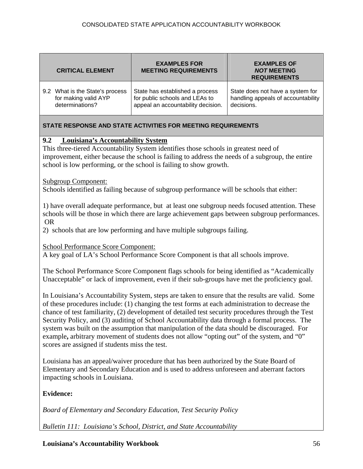| <b>CRITICAL ELEMENT</b>         | <b>EXAMPLES FOR</b><br><b>MEETING REQUIREMENTS</b> | <b>EXAMPLES OF</b><br><b>NOT MEETING</b><br><b>REQUIREMENTS</b> |
|---------------------------------|----------------------------------------------------|-----------------------------------------------------------------|
| 9.2 What is the State's process | State has established a process                    | State does not have a system for                                |
| for making valid AYP            | for public schools and LEAs to                     | handling appeals of accountability                              |
| determinations?                 | appeal an accountability decision.                 | decisions.                                                      |

## **9.2 Louisiana's Accountability System**

This three-tiered Accountability System identifies those schools in greatest need of improvement, either because the school is failing to address the needs of a subgroup, the entire school is low performing, or the school is failing to show growth.

#### Subgroup Component:

Schools identified as failing because of subgroup performance will be schools that either:

1) have overall adequate performance, but at least one subgroup needs focused attention. These schools will be those in which there are large achievement gaps between subgroup performances. OR

2) schools that are low performing and have multiple subgroups failing.

#### School Performance Score Component:

A key goal of LA's School Performance Score Component is that all schools improve.

The School Performance Score Component flags schools for being identified as "Academically Unacceptable" or lack of improvement, even if their sub-groups have met the proficiency goal.

In Louisiana's Accountability System, steps are taken to ensure that the results are valid. Some of these procedures include: (1) changing the test forms at each administration to decrease the chance of test familiarity, (2) development of detailed test security procedures through the Test Security Policy, and (3) auditing of School Accountability data through a formal process. The system was built on the assumption that manipulation of the data should be discouraged. For example, arbitrary movement of students does not allow "opting out" of the system, and "0" scores are assigned if students miss the test.

Louisiana has an appeal/waiver procedure that has been authorized by the State Board of Elementary and Secondary Education and is used to address unforeseen and aberrant factors impacting schools in Louisiana.

## **Evidence:**

*Board of Elementary and Secondary Education, Test Security Policy*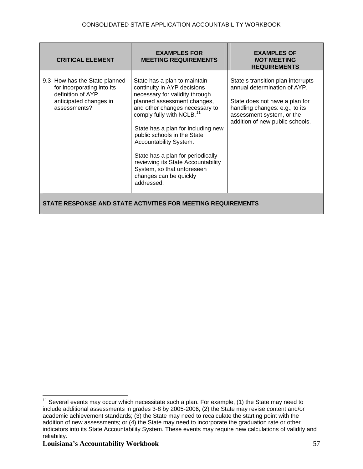<span id="page-56-0"></span>

| <b>CRITICAL ELEMENT</b>                                                                                                    | <b>EXAMPLES FOR</b><br><b>MEETING REQUIREMENTS</b>                                                                                                                                                                                                                                                                                                                                                                                                      | <b>EXAMPLES OF</b><br><b>NOT MEETING</b><br><b>REQUIREMENTS</b>                                                                                                                                        |  |
|----------------------------------------------------------------------------------------------------------------------------|---------------------------------------------------------------------------------------------------------------------------------------------------------------------------------------------------------------------------------------------------------------------------------------------------------------------------------------------------------------------------------------------------------------------------------------------------------|--------------------------------------------------------------------------------------------------------------------------------------------------------------------------------------------------------|--|
| 9.3 How has the State planned<br>for incorporating into its<br>definition of AYP<br>anticipated changes in<br>assessments? | State has a plan to maintain<br>continuity in AYP decisions<br>necessary for validity through<br>planned assessment changes,<br>and other changes necessary to<br>comply fully with NCLB. <sup>11</sup><br>State has a plan for including new<br>public schools in the State<br>Accountability System.<br>State has a plan for periodically<br>reviewing its State Accountability<br>System, so that unforeseen<br>changes can be quickly<br>addressed. | State's transition plan interrupts<br>annual determination of AYP.<br>State does not have a plan for<br>handling changes: e.g., to its<br>assessment system, or the<br>addition of new public schools. |  |
| STATE RESPONSE AND STATE ACTIVITIES FOR MEETING REQUIREMENTS                                                               |                                                                                                                                                                                                                                                                                                                                                                                                                                                         |                                                                                                                                                                                                        |  |

 $\overline{a}$  $11$  Several events may occur which necessitate such a plan. For example, (1) the State may need to include additional assessments in grades 3-8 by 2005-2006; (2) the State may revise content and/or academic achievement standards; (3) the State may need to recalculate the starting point with the addition of new assessments; or (4) the State may need to incorporate the graduation rate or other indicators into its State Accountability System. These events may require new calculations of validity and reliability.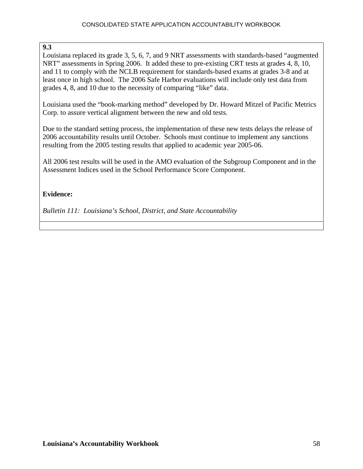## **9.3**

Louisiana replaced its grade 3, 5, 6, 7, and 9 NRT assessments with standards-based "augmented NRT" assessments in Spring 2006. It added these to pre-existing CRT tests at grades 4, 8, 10, and 11 to comply with the NCLB requirement for standards-based exams at grades 3-8 and at least once in high school. The 2006 Safe Harbor evaluations will include only test data from grades 4, 8, and 10 due to the necessity of comparing "like" data.

Louisiana used the "book-marking method" developed by Dr. Howard Mitzel of Pacific Metrics Corp. to assure vertical alignment between the new and old tests.

Due to the standard setting process, the implementation of these new tests delays the release of 2006 accountability results until October. Schools must continue to implement any sanctions resulting from the 2005 testing results that applied to academic year 2005-06.

All 2006 test results will be used in the AMO evaluation of the Subgroup Component and in the Assessment Indices used in the School Performance Score Component.

# **Evidence:**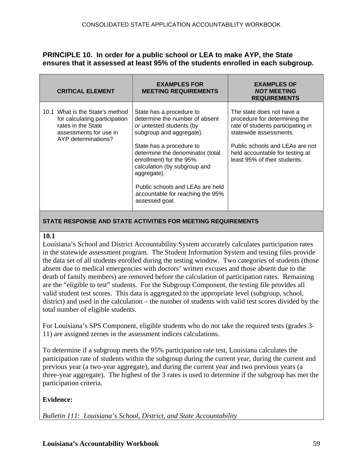## **PRINCIPLE 10. In order for a public school or LEA to make AYP, the State ensures that it assessed at least 95% of the students enrolled in each subgroup.**

| <b>CRITICAL ELEMENT</b>                                                                                                                 | <b>EXAMPLES FOR</b><br><b>MEETING REQUIREMENTS</b>                                                                                                                                                                                                                                                                                                     | <b>EXAMPLES OF</b><br><b>NOT MEETING</b><br><b>REQUIREMENTS</b>                                                                                                                                                                 |
|-----------------------------------------------------------------------------------------------------------------------------------------|--------------------------------------------------------------------------------------------------------------------------------------------------------------------------------------------------------------------------------------------------------------------------------------------------------------------------------------------------------|---------------------------------------------------------------------------------------------------------------------------------------------------------------------------------------------------------------------------------|
| 10.1 What is the State's method<br>for calculating participation<br>rates in the State<br>assessments for use in<br>AYP determinations? | State has a procedure to<br>determine the number of absent<br>or untested students (by<br>subgroup and aggregate).<br>State has a procedure to<br>determine the denominator (total<br>enrollment) for the 95%<br>calculation (by subgroup and<br>aggregate).<br>Public schools and LEAs are held<br>accountable for reaching the 95%<br>assessed goal. | The state does not have a<br>procedure for determining the<br>rate of students participating in<br>statewide assessments.<br>Public schools and LEAs are not<br>held accountable for testing at<br>least 95% of their students. |

#### **STATE RESPONSE AND STATE ACTIVITIES FOR MEETING REQUIREMENTS**

#### **10.1**

Louisiana's School and District Accountability System accurately calculates participation rates in the statewide assessment program. The Student Information System and testing files provide the data set of all students enrolled during the testing window. Two categories of students (those absent due to medical emergencies with doctors' written excuses and those absent due to the death of family members) are removed before the calculation of participation rates. Remaining are the "eligible to test" students. For the Subgroup Component, the testing file provides all valid student test scores. This data is aggregated to the appropriate level (subgroup, school, district) and used in the calculation – the number of students with valid test scores divided by the total number of eligible students.

For Louisiana's SPS Component, eligible students who do not take the required tests (grades 3- 11) are assigned zeroes in the assessment indices calculations.

To determine if a subgroup meets the 95% participation rate test, Louisiana calculates the participation rate of students within the subgroup during the current year, during the current and previous year (a two-year aggregate), and during the current year and two previous years (a three-year aggregate). The highest of the 3 rates is used to determine if the subgroup has met the participation criteria.

#### **Evidence:**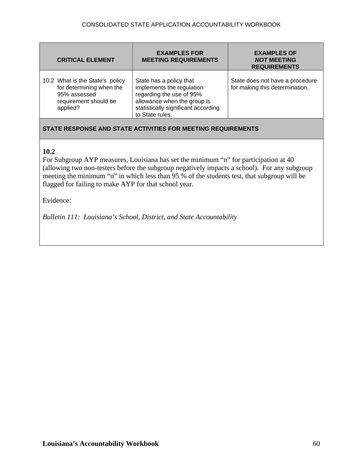| <b>CRITICAL ELEMENT</b>                                                                                          | <b>EXAMPLES FOR</b><br><b>MEETING REQUIREMENTS</b>                                                                                                                        | <b>EXAMPLES OF</b><br><b>NOT MEETING</b><br><b>REQUIREMENTS</b>   |
|------------------------------------------------------------------------------------------------------------------|---------------------------------------------------------------------------------------------------------------------------------------------------------------------------|-------------------------------------------------------------------|
| 10.2 What is the State's policy<br>for determining when the<br>95% assessed<br>requirement should be<br>applied? | State has a policy that<br>implements the regulation<br>regarding the use of 95%<br>allowance when the group is<br>statistically significant according<br>to State rules. | State does not have a procedure<br>for making this determination. |

# **10.2**

For Subgroup AYP measures, Louisiana has set the minimum "n" for participation at 40 (allowing two non-testers before the subgroup negatively impacts a school). For any subgroup meeting the minimum "n" in which less than 95 % of the students test, that subgroup will be flagged for failing to make AYP for that school year.

Evidence: